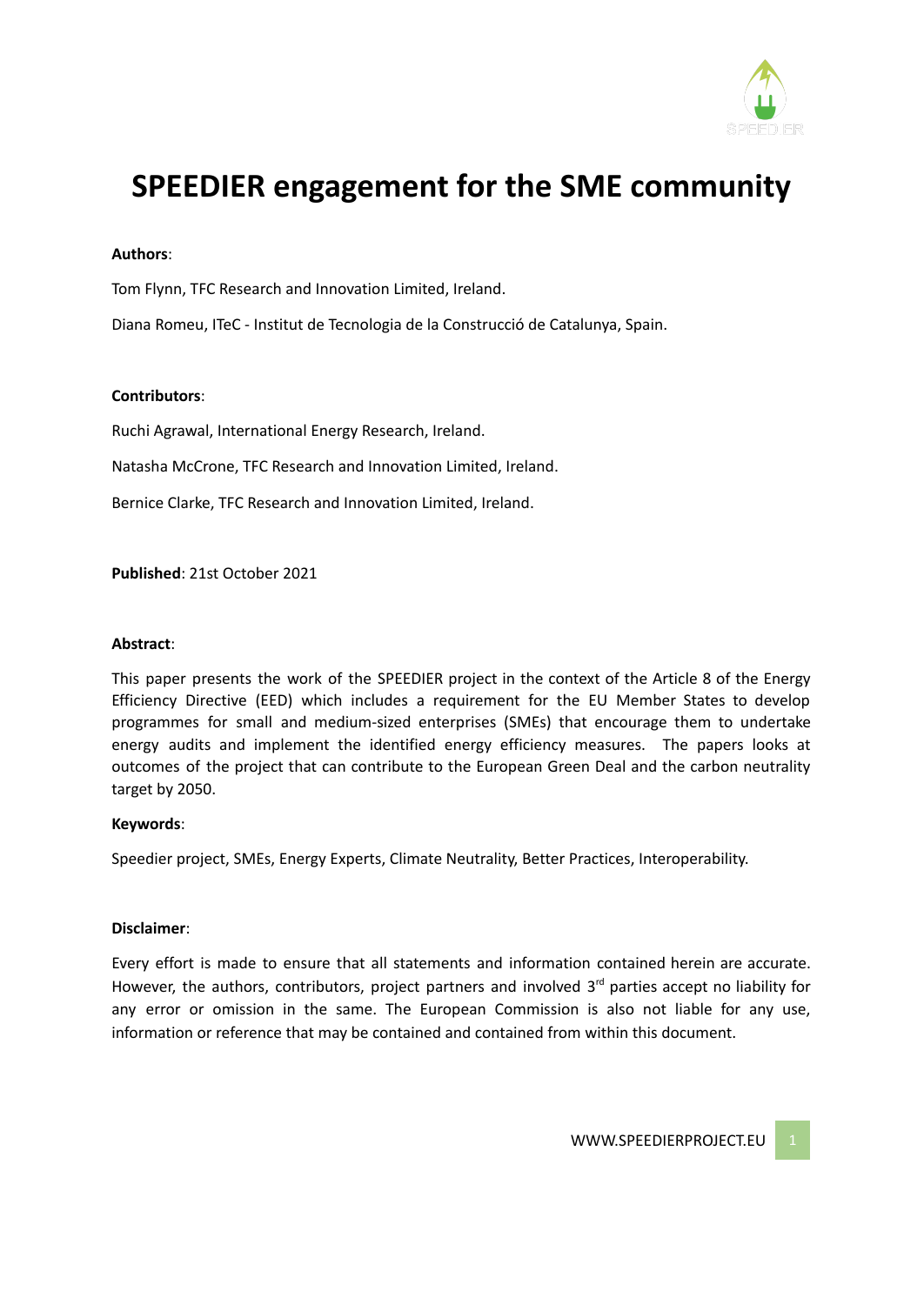

# **SPEEDIER engagement for the SME community**

#### **Authors**:

Tom Flynn, TFC Research and Innovation Limited, Ireland.

Diana Romeu, ITeC - Institut de Tecnologia de la Construcció de Catalunya, Spain.

#### **Contributors**:

Ruchi Agrawal, International Energy Research, Ireland.

Natasha McCrone, TFC Research and Innovation Limited, Ireland.

Bernice Clarke, TFC Research and Innovation Limited, Ireland.

**Published**: 21st October 2021

#### **Abstract**:

This paper presents the work of the SPEEDIER project in the context of the Article 8 of the Energy Efficiency Directive (EED) which includes a requirement for the EU Member States to develop programmes for small and medium-sized enterprises (SMEs) that encourage them to undertake energy audits and implement the identified energy efficiency measures. The papers looks at outcomes of the project that can contribute to the European Green Deal and the carbon neutrality target by 2050.

#### **Keywords**:

Speedier project, SMEs, Energy Experts, Climate Neutrality, Better Practices, Interoperability.

#### **Disclaimer**:

Every effort is made to ensure that all statements and information contained herein are accurate. However, the authors, contributors, project partners and involved 3<sup>rd</sup> parties accept no liability for any error or omission in the same. The European Commission is also not liable for any use, information or reference that may be contained and contained from within this document.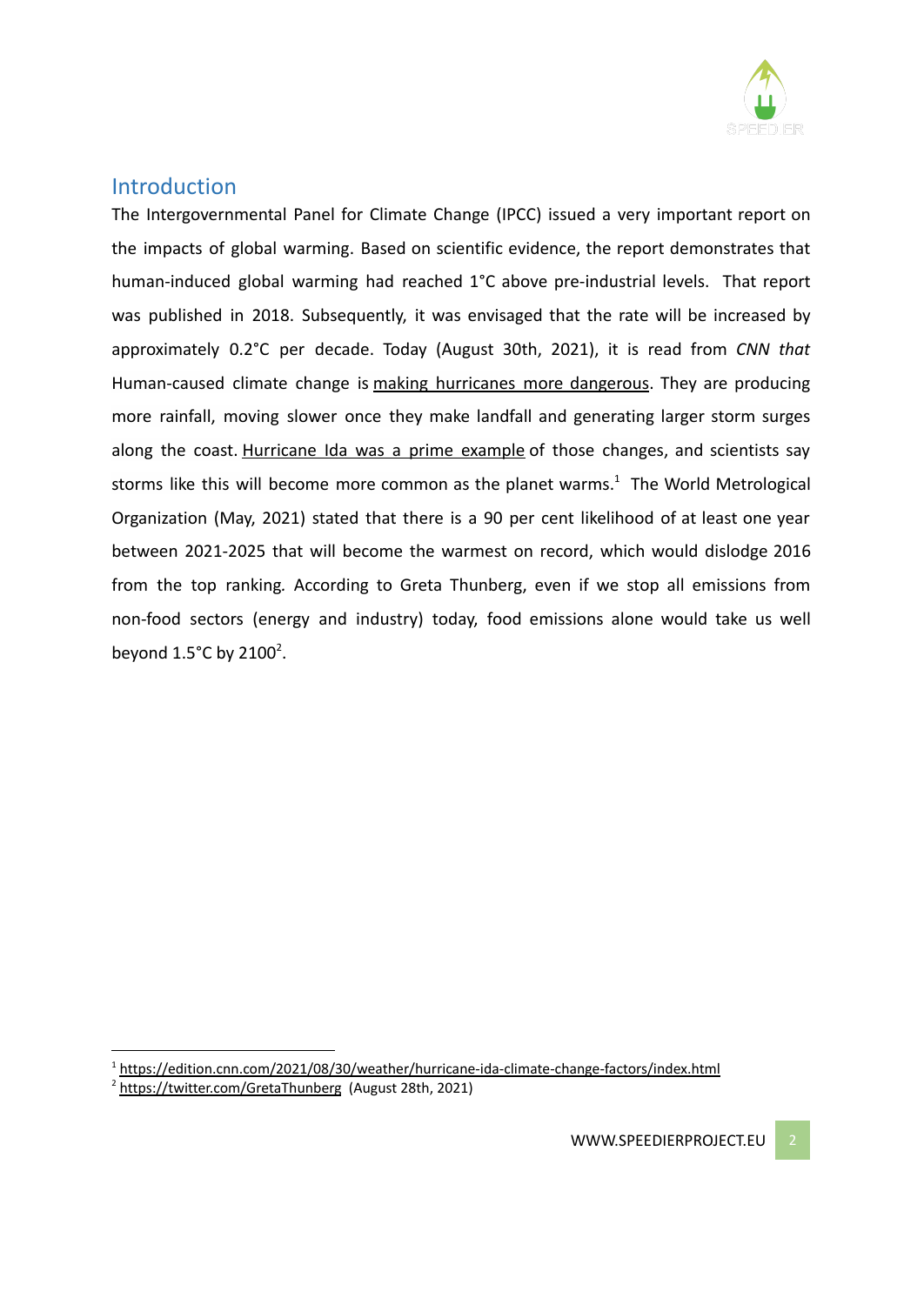

## **Introduction**

The Intergovernmental Panel for Climate Change (IPCC) issued a very important report on the impacts of global warming. Based on scientific evidence, the report demonstrates that human-induced global warming had reached 1°C above pre-industrial levels. That report was published in 2018. Subsequently, it was envisaged that the rate will be increased by approximately 0.2°C per decade. Today (August 30th, 2021), it is read from *CNN that* Human-caused climate change is making [hurricanes](https://www.cnn.com/interactive/2020/12/us/hurricanes-climate-change/) more dangerous. They are producing more rainfall, moving slower once they make landfall and generating larger storm surges along the coast. [Hurricane](https://www.cnn.com/us/live-news/ida-updates-08-30-21/) Ida was a prime example of those changes, and scientists say storms like this will become more common as the planet warms.<sup>1</sup> The World Metrological Organization (May, 2021) stated that there is a 90 per cent likelihood of at least one year between 2021-2025 that will become the warmest on record, which would dislodge 2016 from the top ranking*.* According to Greta Thunberg, even if we stop all emissions from non-food sectors (energy and industry) today, food emissions alone would take us well beyond  $1.5^{\circ}$ C by 2100<sup>2</sup>.

<sup>2</sup> <https://twitter.com/GretaThunberg> (August 28th, 2021)

<sup>&</sup>lt;sup>1</sup> <https://edition.cnn.com/2021/08/30/weather/hurricane-ida-climate-change-factors/index.html>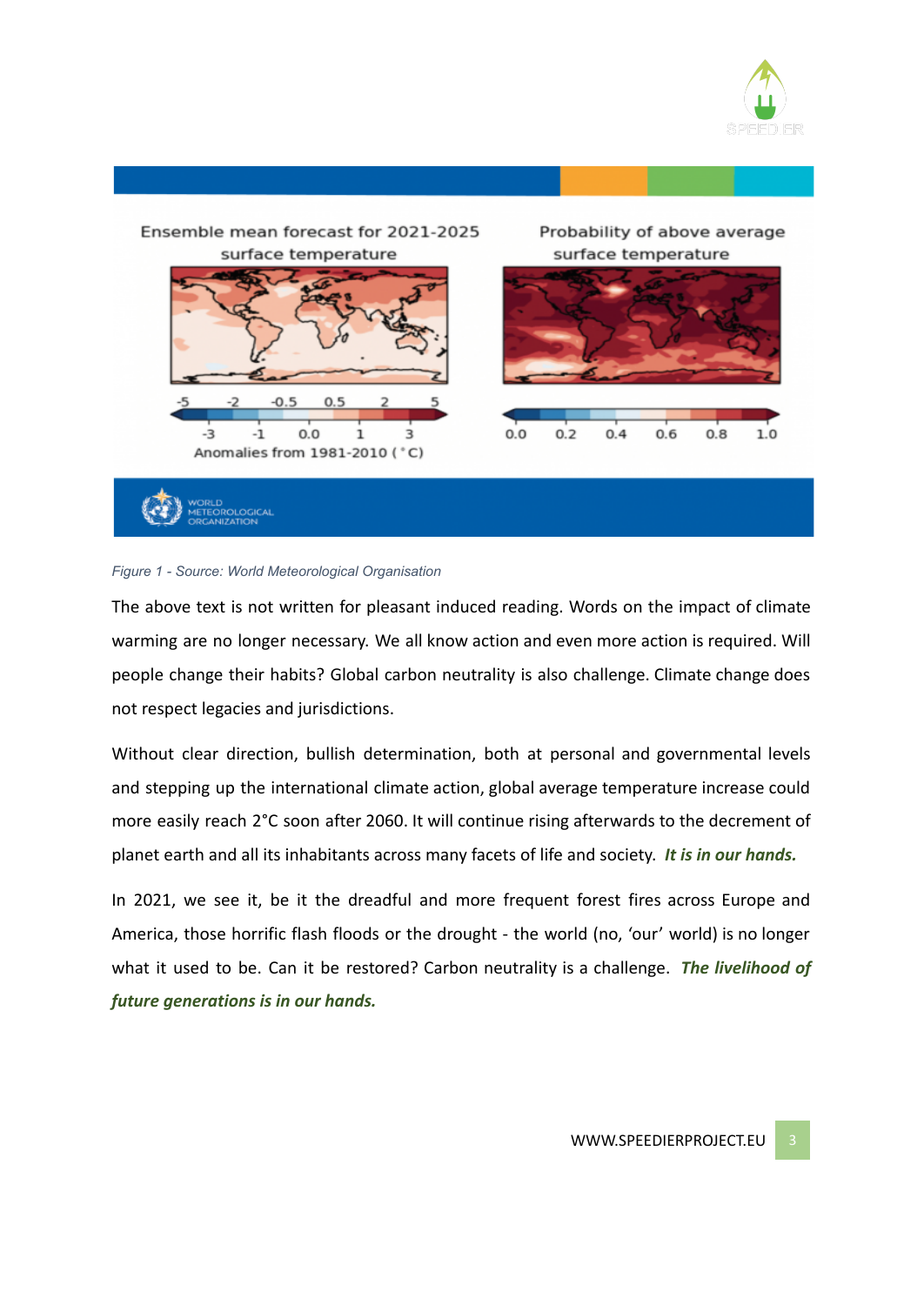





The above text is not written for pleasant induced reading. Words on the impact of climate warming are no longer necessary. We all know action and even more action is required. Will people change their habits? Global carbon neutrality is also challenge. Climate change does not respect legacies and jurisdictions.

Without clear direction, bullish determination, both at personal and governmental levels and stepping up the international climate action, global average temperature increase could more easily reach 2°C soon after 2060. It will continue rising afterwards to the decrement of planet earth and all its inhabitants across many facets of life and society. *It is in our hands.*

In 2021, we see it, be it the dreadful and more frequent forest fires across Europe and America, those horrific flash floods or the drought - the world (no, 'our' world) is no longer what it used to be. Can it be restored? Carbon neutrality is a challenge. *The livelihood of future generations is in our hands.*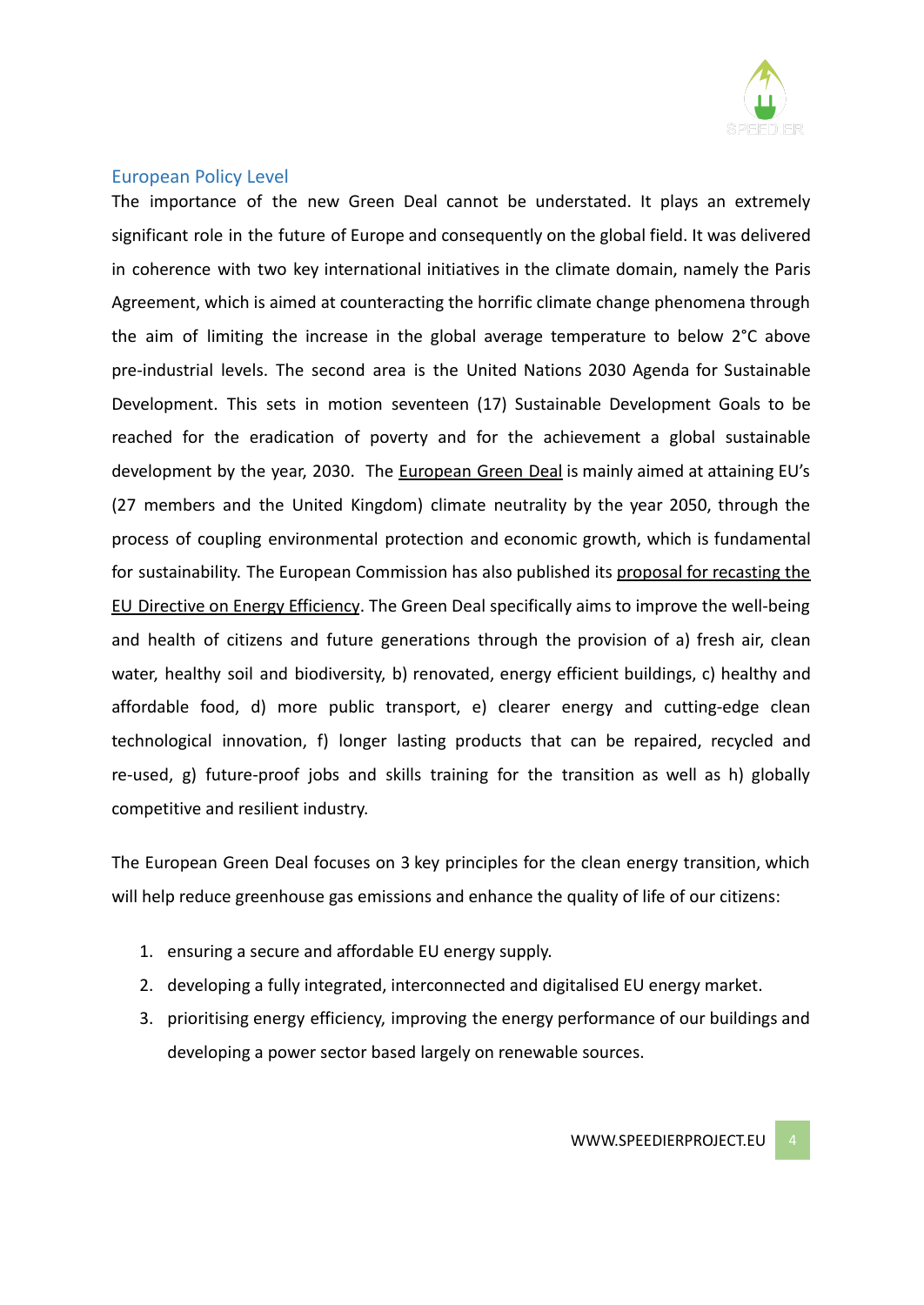

## European Policy Level

The importance of the new Green Deal cannot be understated. It plays an extremely significant role in the future of Europe and consequently on the global field. It was delivered in coherence with two key international initiatives in the climate domain, namely the Paris Agreement, which is aimed at counteracting the horrific climate change phenomena through the aim of limiting the increase in the global average temperature to below 2°C above pre-industrial levels. The second area is the United Nations 2030 Agenda for Sustainable Development. This sets in motion seventeen (17) Sustainable Development Goals to be reached for the eradication of poverty and for the achievement a global sustainable development by the year, 2030. The [European](https://ec.europa.eu/info/strategy/priorities-2019-2024/european-green-deal_en) Green Deal is mainly aimed at attaining EU's (27 members and the United Kingdom) climate neutrality by the year 2050, through the process of coupling environmental protection and economic growth, which is fundamental for sustainability. The European Commission has also published its proposal for [recasting](https://ec.europa.eu/info/files/amendment-energy-efficiency-directive-implement-ambition-new-2030-climate-target_en) the EU Directive on Energy [Efficiency](https://ec.europa.eu/info/files/amendment-energy-efficiency-directive-implement-ambition-new-2030-climate-target_en). The Green Deal specifically aims to improve the well-being and health of citizens and future generations through the provision of a) fresh air, clean water, healthy soil and biodiversity, b) renovated, energy efficient buildings, c) healthy and affordable food, d) more public transport, e) clearer energy and cutting-edge clean technological innovation, f) longer lasting products that can be repaired, recycled and re-used, g) future-proof jobs and skills training for the transition as well as h) globally competitive and resilient industry.

The European Green Deal focuses on 3 key principles for the clean energy transition, which will help reduce greenhouse gas emissions and enhance the quality of life of our citizens:

- 1. ensuring a secure and affordable EU energy supply.
- 2. developing a fully integrated, interconnected and digitalised EU energy market.
- 3. prioritising energy efficiency, improving the energy performance of our buildings and developing a power sector based largely on renewable sources.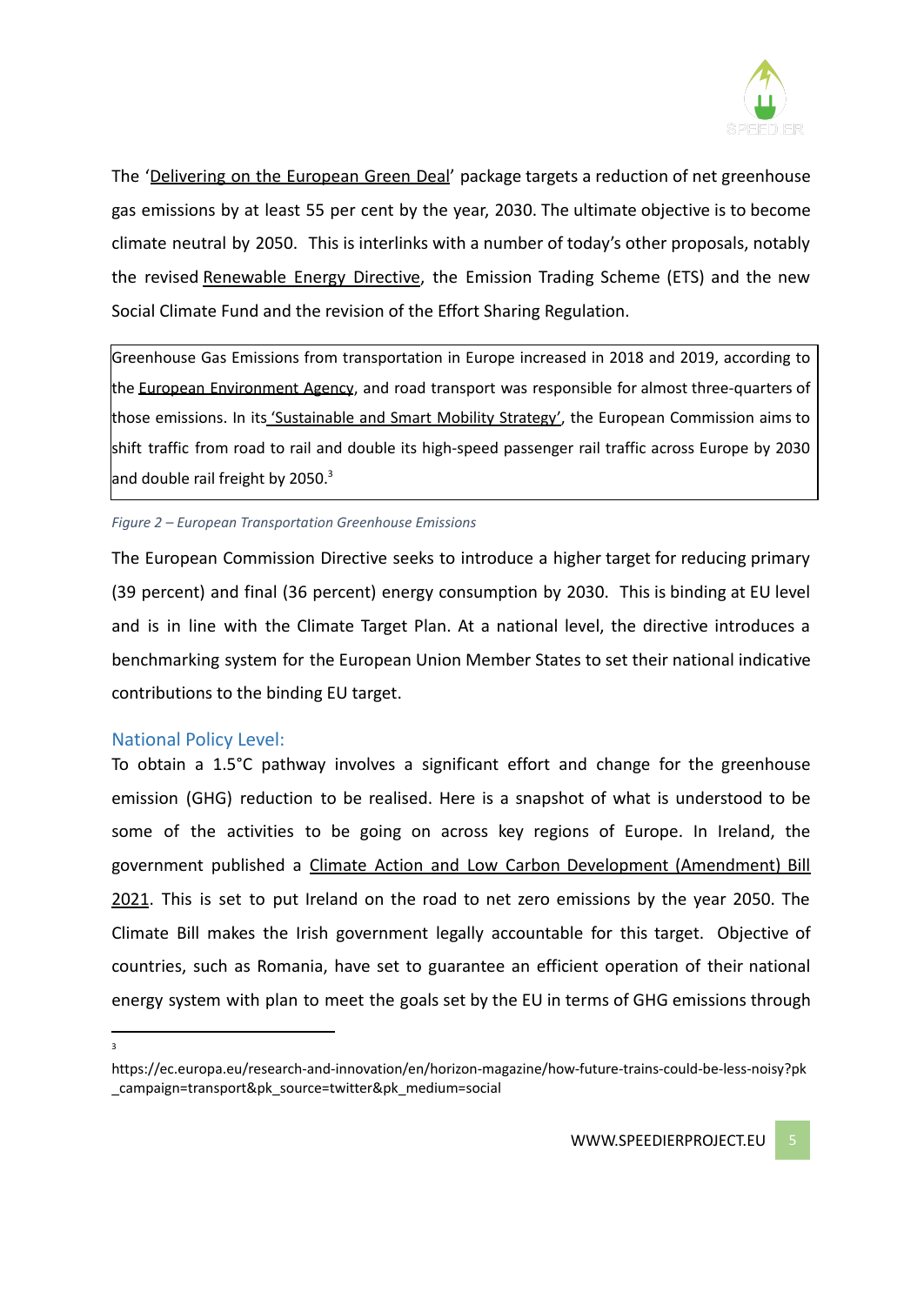

The '[Delivering](https://ec.europa.eu/info/strategy/priorities-2019-2024/european-green-deal/delivering-european-green-deal_en) on the European Green Deal' package targets a reduction of net greenhouse gas emissions by at least 55 per cent by the year, 2030. The ultimate objective is to become climate neutral by 2050. This is interlinks with a number of today's other proposals, notably the revised [Renewable](https://ec.europa.eu/info/news/commission-presents-renewable-energy-directive-revision-2021-jul-14_en) Energy Directive, the Emission Trading Scheme (ETS) and the new Social Climate Fund and the revision of the Effort Sharing Regulation.

Greenhouse Gas Emissions from transportation in Europe increased in 2018 and 2019, according to the European [Environment](https://www.eea.europa.eu/data-and-maps/indicators/transport-emissions-of-greenhouse-gases-7/assessment) Agency, and road transport was responsible for almost three-quarters of those emissions. In its ['Sustainable](https://ec.europa.eu/transport/themes/mobilitystrategy_en) and Smart Mobility Strategy', the European Commission aims to shift traffic from road to rail and double its high-speed passenger rail traffic across Europe by 2030 and double rail freight by 2050.<sup>3</sup>

#### *Figure 2 – European Transportation Greenhouse Emissions*

The European Commission Directive seeks to introduce a higher target for reducing primary (39 percent) and final (36 percent) energy consumption by 2030. This is binding at EU level and is in line with the Climate Target Plan. At a national level, the directive introduces a benchmarking system for the European Union Member States to set their national indicative contributions to the binding EU target.

#### National Policy Level:

To obtain a 1.5°C pathway involves a significant effort and change for the greenhouse emission (GHG) reduction to be realised. Here is a snapshot of what is understood to be some of the activities to be going on across key regions of Europe. In Ireland, the government published a Climate Action and Low Carbon Development [\(Amendment\)](https://www.gov.ie/en/publication/984d2-climate-action-and-low-carbon-development-amendment-bill-2020/) Bill 2021. This is set to put Ireland on the road to net zero emissions by the year 2050. The Climate Bill makes the Irish government legally accountable for this target. Objective of countries, such as Romania, have set to guarantee an efficient operation of their national energy system with plan to meet the goals set by the EU in terms of GHG emissions through

3

https://ec.europa.eu/research-and-innovation/en/horizon-magazine/how-future-trains-could-be-less-noisy?pk \_campaign=transport&pk\_source=twitter&pk\_medium=social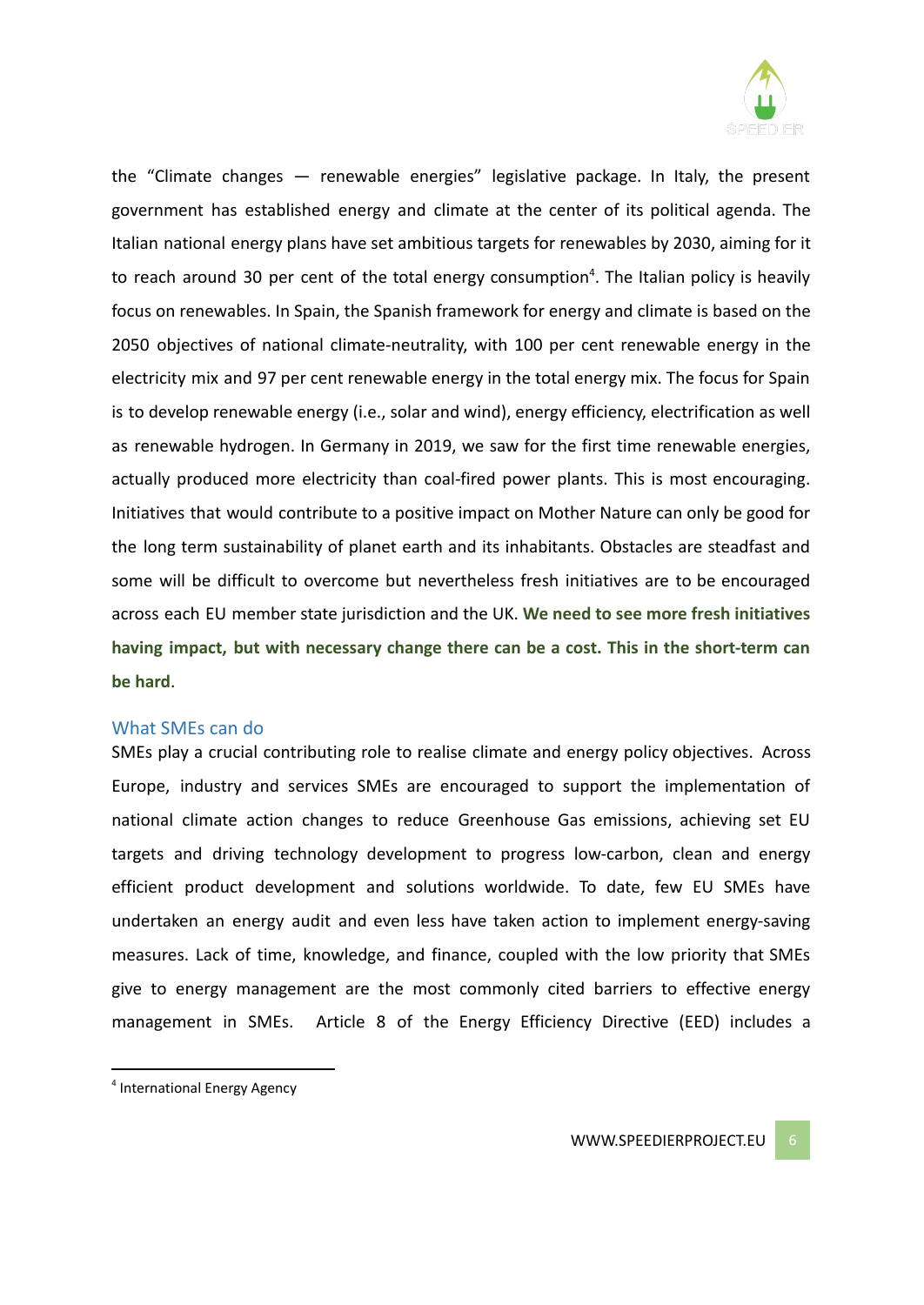

the "Climate changes — renewable energies" legislative package. In Italy, the present government has established energy and climate at the center of its political agenda. The Italian national energy plans have set ambitious targets for renewables by 2030, aiming for it to reach around 30 per cent of the total energy consumption<sup>4</sup>. The Italian policy is heavily focus on renewables. In Spain, the Spanish framework for energy and climate is based on the 2050 objectives of national climate-neutrality, with 100 per cent renewable energy in the electricity mix and 97 per cent renewable energy in the total energy mix. The focus for Spain is to develop renewable energy (i.e., solar and wind), energy efficiency, electrification as well as renewable hydrogen. In Germany in 2019, we saw for the first time renewable energies, actually produced more electricity than coal-fired power plants. This is most encouraging. Initiatives that would contribute to a positive impact on Mother Nature can only be good for the long term sustainability of planet earth and its inhabitants. Obstacles are steadfast and some will be difficult to overcome but nevertheless fresh initiatives are to be encouraged across each EU member state jurisdiction and the UK. **We need to see more fresh initiatives having impact, but with necessary change there can be a cost. This in the short-term can be hard**.

#### What SMEs can do

SMEs play a crucial contributing role to realise climate and energy policy objectives. Across Europe, industry and services SMEs are encouraged to support the implementation of national climate action changes to reduce Greenhouse Gas emissions, achieving set EU targets and driving technology development to progress low-carbon, clean and energy efficient product development and solutions worldwide. To date, few EU SMEs have undertaken an energy audit and even less have taken action to implement energy-saving measures. Lack of time, knowledge, and finance, coupled with the low priority that SMEs give to energy management are the most commonly cited barriers to effective energy management in SMEs. Article 8 of the Energy Efficiency Directive (EED) includes a

<sup>4</sup> International Energy Agency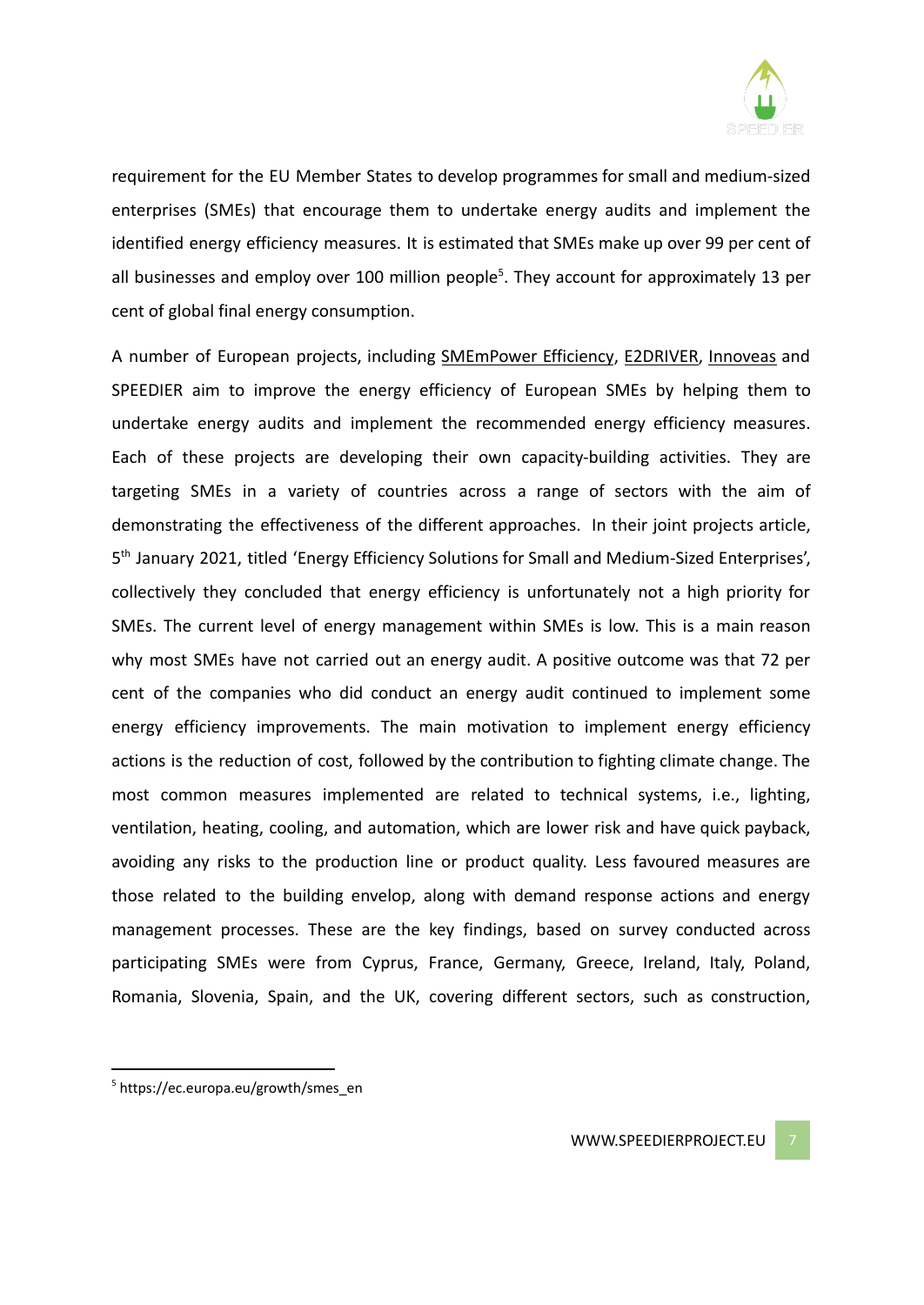

requirement for the EU Member States to develop programmes for small and medium-sized enterprises (SMEs) that encourage them to undertake energy audits and implement the identified energy efficiency measures. It is estimated that SMEs make up over 99 per cent of all businesses and employ over 100 million people<sup>5</sup>. They account for approximately 13 per cent of global final energy consumption.

A number of European projects, including [SMEmPower](https://smempower.com/) Efficiency, [E2DRIVER,](https://e2driver.eu/) [Innoveas](https://innoveas.eu/) and SPEEDIER aim to improve the energy efficiency of European SMEs by helping them to undertake energy audits and implement the recommended energy efficiency measures. Each of these projects are developing their own capacity-building activities. They are targeting SMEs in a variety of countries across a range of sectors with the aim of demonstrating the effectiveness of the different approaches. In their joint projects article, 5<sup>th</sup> January 2021, titled 'Energy Efficiency Solutions for Small and Medium-Sized Enterprises', collectively they concluded that energy efficiency is unfortunately not a high priority for SMEs. The current level of energy management within SMEs is low. This is a main reason why most SMEs have not carried out an energy audit. A positive outcome was that 72 per cent of the companies who did conduct an energy audit continued to implement some energy efficiency improvements. The main motivation to implement energy efficiency actions is the reduction of cost, followed by the contribution to fighting climate change. The most common measures implemented are related to technical systems, i.e., lighting, ventilation, heating, cooling, and automation, which are lower risk and have quick payback, avoiding any risks to the production line or product quality. Less favoured measures are those related to the building envelop, along with demand response actions and energy management processes. These are the key findings, based on survey conducted across participating SMEs were from Cyprus, France, Germany, Greece, Ireland, Italy, Poland, Romania, Slovenia, Spain, and the UK, covering different sectors, such as construction,

<sup>5</sup> https://ec.europa.eu/growth/smes\_en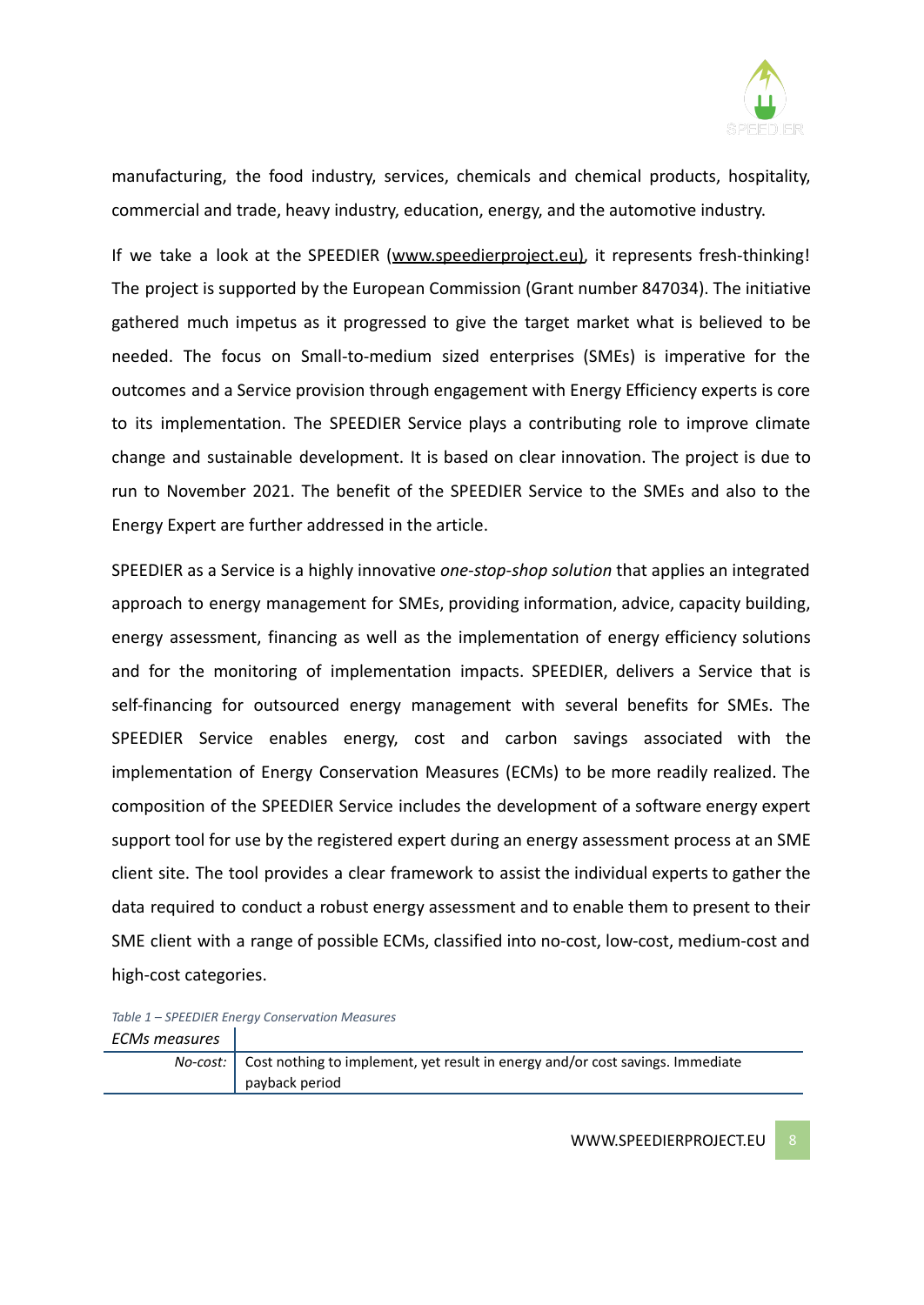

manufacturing, the food industry, services, chemicals and chemical products, hospitality, commercial and trade, heavy industry, education, energy, and the automotive industry.

If we take a look at the SPEEDIER ([www.speedierproject.eu](http://www.speedierproject.eu)), it represents fresh-thinking! The project is supported by the European Commission (Grant number 847034). The initiative gathered much impetus as it progressed to give the target market what is believed to be needed. The focus on Small-to-medium sized enterprises (SMEs) is imperative for the outcomes and a Service provision through engagement with Energy Efficiency experts is core to its implementation. The SPEEDIER Service plays a contributing role to improve climate change and sustainable development. It is based on clear innovation. The project is due to run to November 2021. The benefit of the SPEEDIER Service to the SMEs and also to the Energy Expert are further addressed in the article.

SPEEDIER as a Service is a highly innovative *one-stop-shop solution* that applies an integrated approach to energy management for SMEs, providing information, advice, capacity building, energy assessment, financing as well as the implementation of energy efficiency solutions and for the monitoring of implementation impacts. SPEEDIER, delivers a Service that is self-financing for outsourced energy management with several benefits for SMEs. The SPEEDIER Service enables energy, cost and carbon savings associated with the implementation of Energy Conservation Measures (ECMs) to be more readily realized. The composition of the SPEEDIER Service includes the development of a software energy expert support tool for use by the registered expert during an energy assessment process at an SME client site. The tool provides a clear framework to assist the individual experts to gather the data required to conduct a robust energy assessment and to enable them to present to their SME client with a range of possible ECMs, classified into no-cost, low-cost, medium-cost and high-cost categories.

| ECMs measures |                                                                                           |
|---------------|-------------------------------------------------------------------------------------------|
|               | No-cost:   Cost nothing to implement, yet result in energy and/or cost savings. Immediate |
|               | payback period                                                                            |

*Table 1 – SPEEDIER Energy Conservation Measures*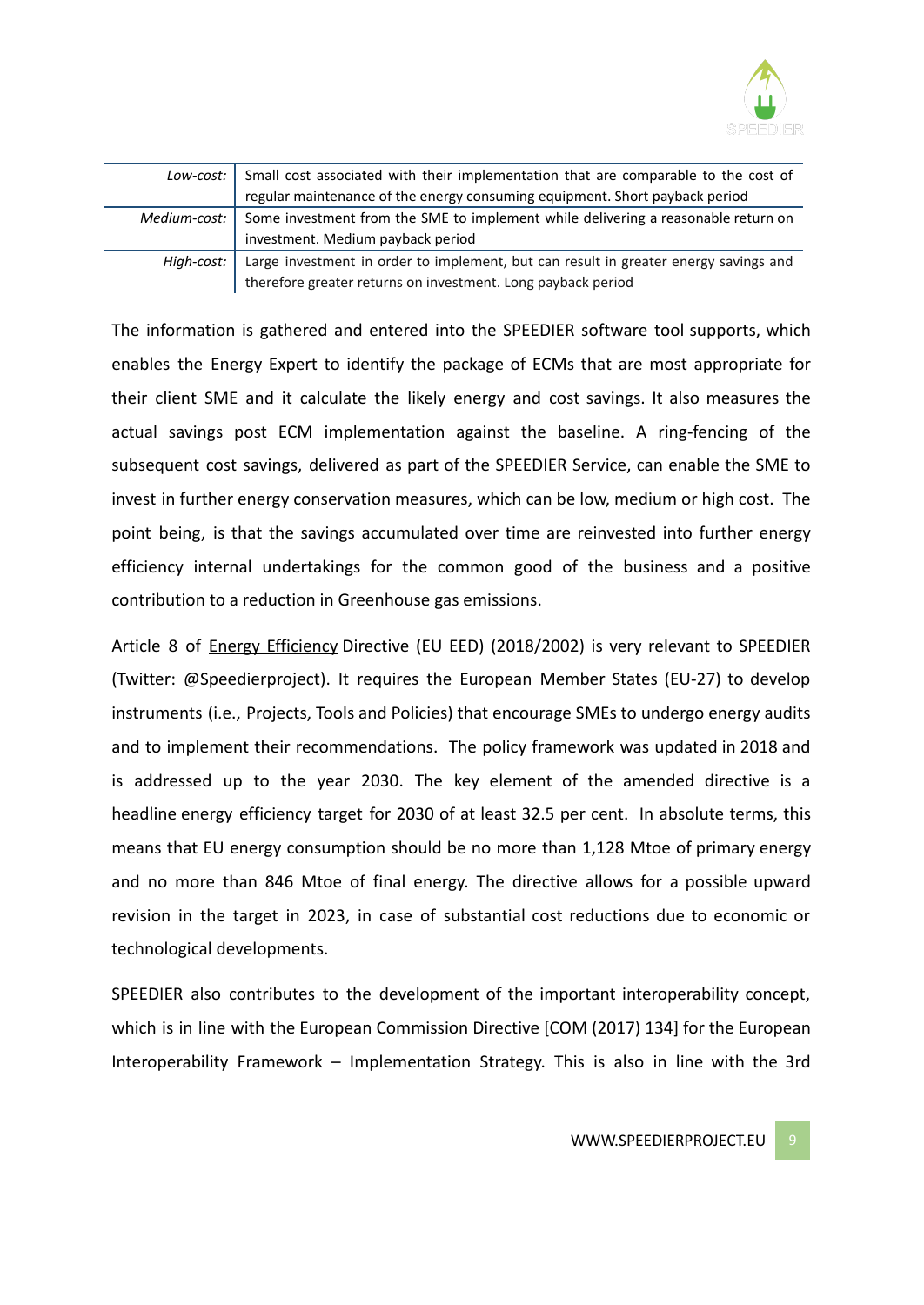

| Low-cost: 1    | Small cost associated with their implementation that are comparable to the cost of   |
|----------------|--------------------------------------------------------------------------------------|
|                | regular maintenance of the energy consuming equipment. Short payback period          |
| Medium-cost: 1 | Some investment from the SME to implement while delivering a reasonable return on    |
|                | investment. Medium payback period                                                    |
| High-cost:     | Large investment in order to implement, but can result in greater energy savings and |
|                | therefore greater returns on investment. Long payback period                         |

The information is gathered and entered into the SPEEDIER software tool supports, which enables the Energy Expert to identify the package of ECMs that are most appropriate for their client SME and it calculate the likely energy and cost savings. It also measures the actual savings post ECM implementation against the baseline. A ring-fencing of the subsequent cost savings, delivered as part of the SPEEDIER Service, can enable the SME to invest in further energy conservation measures, which can be low, medium or high cost. The point being, is that the savings accumulated over time are reinvested into further energy efficiency internal undertakings for the common good of the business and a positive contribution to a reduction in Greenhouse gas emissions.

Article 8 of Energy [Efficiency](https://climatepolicyinfohub.eu/glossary/4#Energy_efficiency) Directive (EU EED) (2018/2002) is very relevant to SPEEDIER (Twitter: @Speedierproject). It requires the European Member States (EU-27) to develop instruments (i.e., Projects, Tools and Policies) that encourage SMEs to undergo energy audits and to implement their recommendations. The policy framework was updated in 2018 and is addressed up to the year 2030. The key element of the amended directive is a headline energy efficiency target for 2030 of at least 32.5 per cent. In absolute terms, this means that EU energy consumption should be no more than 1,128 Mtoe of primary energy and no more than 846 Mtoe of final energy. The directive allows for a possible upward revision in the target in 2023, in case of substantial cost reductions due to economic or technological developments.

SPEEDIER also contributes to the development of the important interoperability concept, which is in line with the European Commission Directive [COM (2017) 134] for the European Interoperability Framework – Implementation Strategy. This is also in line with the 3rd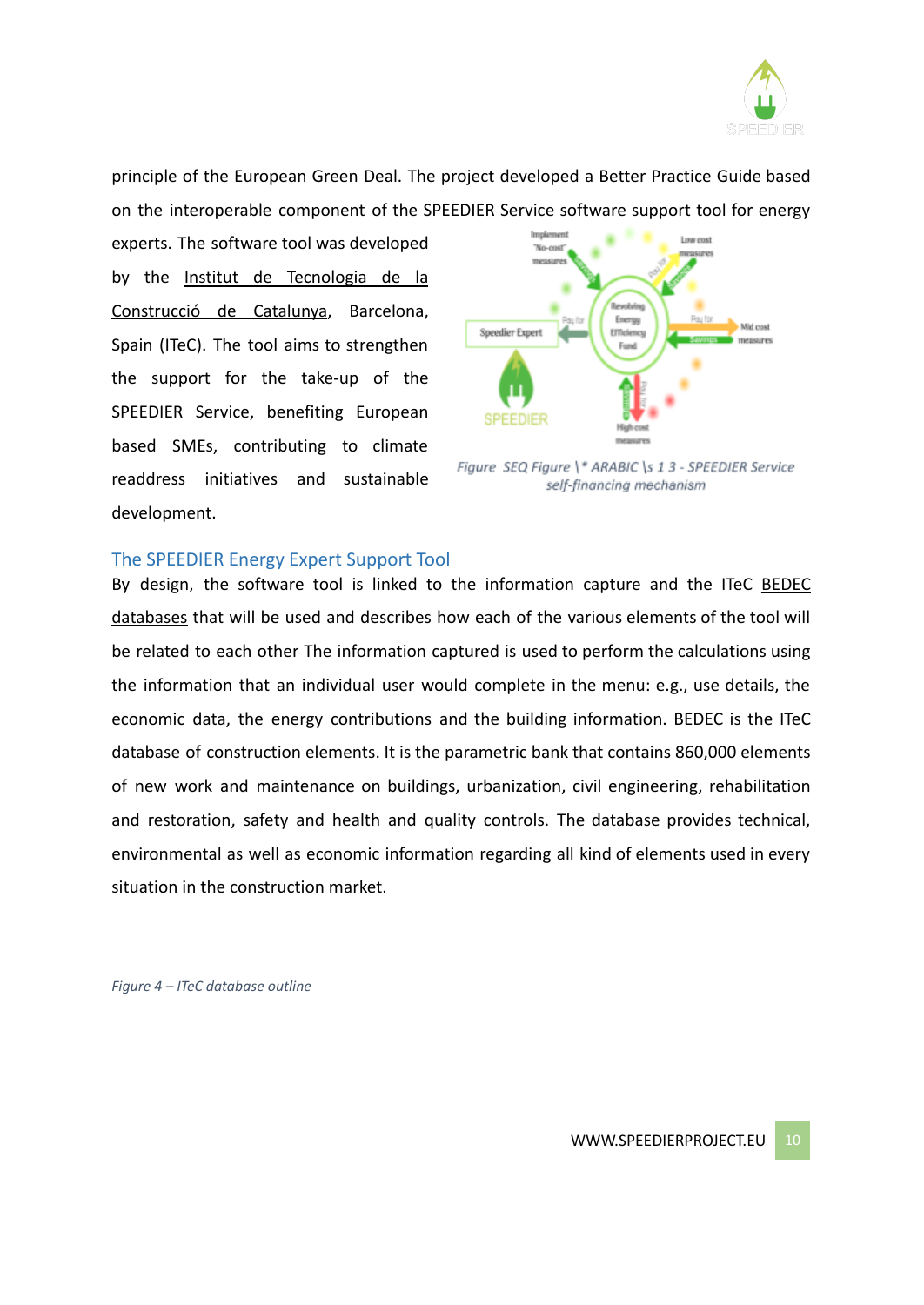

principle of the European Green Deal. The project developed a Better Practice Guide based on the interoperable component of the SPEEDIER Service software support tool for energy

experts. The software tool was developed by the Institut de [Tecnologia](https://en.itec.cat/) de la [Construcció](https://en.itec.cat/) de Catalunya, Barcelona, Spain (ITeC). The tool aims to strengthen the support for the take-up of the SPEEDIER Service, benefiting European based SMEs, contributing to climate readdress initiatives and sustainable development.



Figure SEQ Figure \\* ARABIC \s 1 3 - SPEEDIER Service self-financing mechanism

#### The SPEEDIER Energy Expert Support Tool

By design, the software tool is linked to the information capture and the ITeC [BEDEC](https://en.itec.cat/database/) [databases](https://en.itec.cat/database/) that will be used and describes how each of the various elements of the tool will be related to each other The information captured is used to perform the calculations using the information that an individual user would complete in the menu: e.g., use details, the economic data, the energy contributions and the building information. BEDEC is the ITeC database of construction elements. It is the parametric bank that contains 860,000 elements of new work and maintenance on buildings, urbanization, civil engineering, rehabilitation and restoration, safety and health and quality controls. The database provides technical, environmental as well as economic information regarding all kind of elements used in every situation in the construction market.

*Figure 4 – ITeC database outline*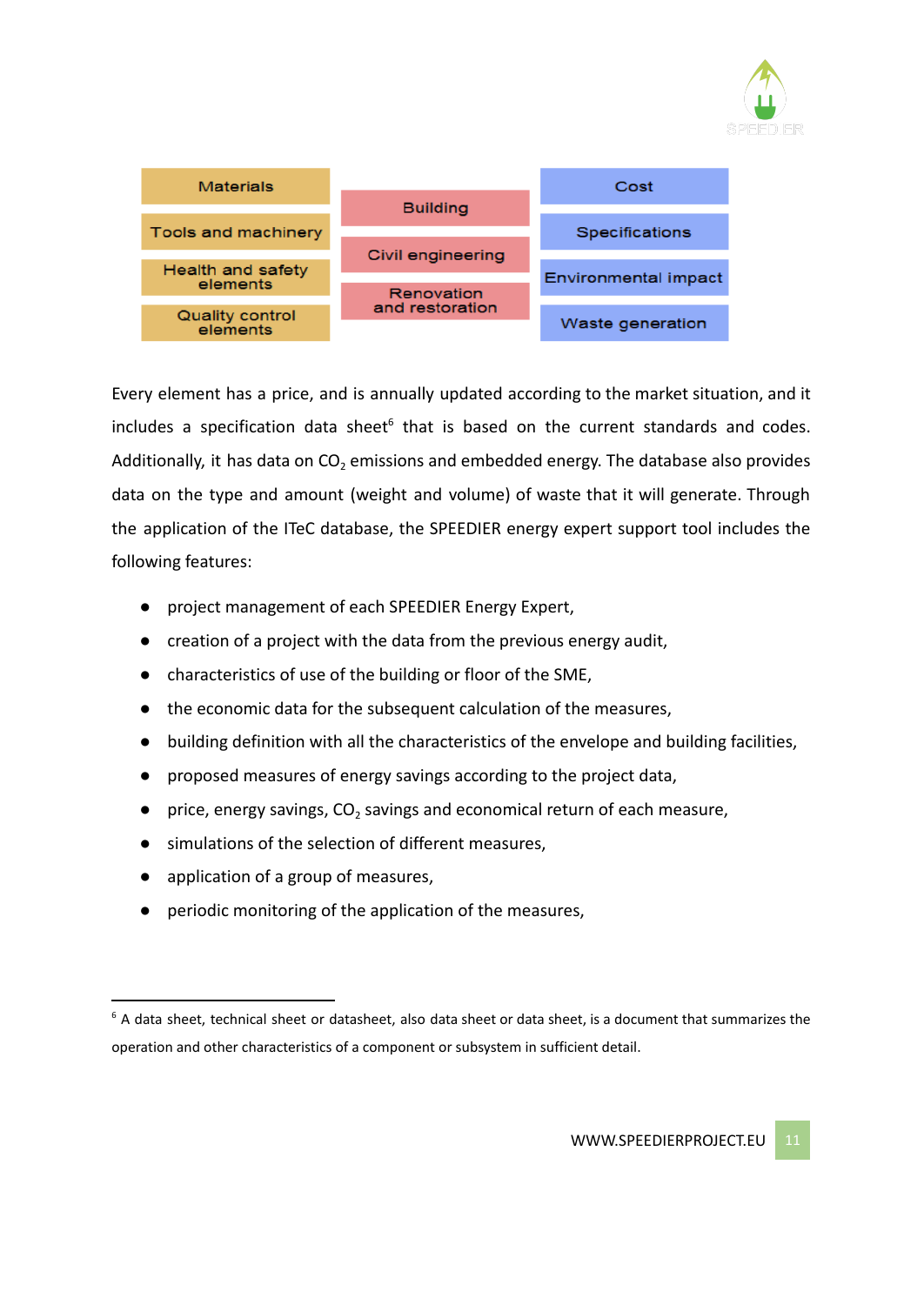



Every element has a price, and is annually updated according to the market situation, and it includes a specification data sheet $6$  that is based on the current standards and codes. Additionally, it has data on  $CO<sub>2</sub>$  emissions and embedded energy. The database also provides data on the type and amount (weight and volume) of waste that it will generate. Through the application of the ITeC database, the SPEEDIER energy expert support tool includes the following features:

- project management of each SPEEDIER Energy Expert,
- creation of a project with the data from the previous energy audit,
- characteristics of use of the building or floor of the SME,
- the economic data for the subsequent calculation of the measures,
- building definition with all the characteristics of the envelope and building facilities,
- proposed measures of energy savings according to the project data,
- price, energy savings,  $CO<sub>2</sub>$  savings and economical return of each measure,
- simulations of the selection of different measures,
- application of a group of measures,
- periodic monitoring of the application of the measures,

 $6$  A data sheet, technical sheet or datasheet, also data sheet or data sheet, is a document that summarizes the operation and other characteristics of a component or subsystem in sufficient detail.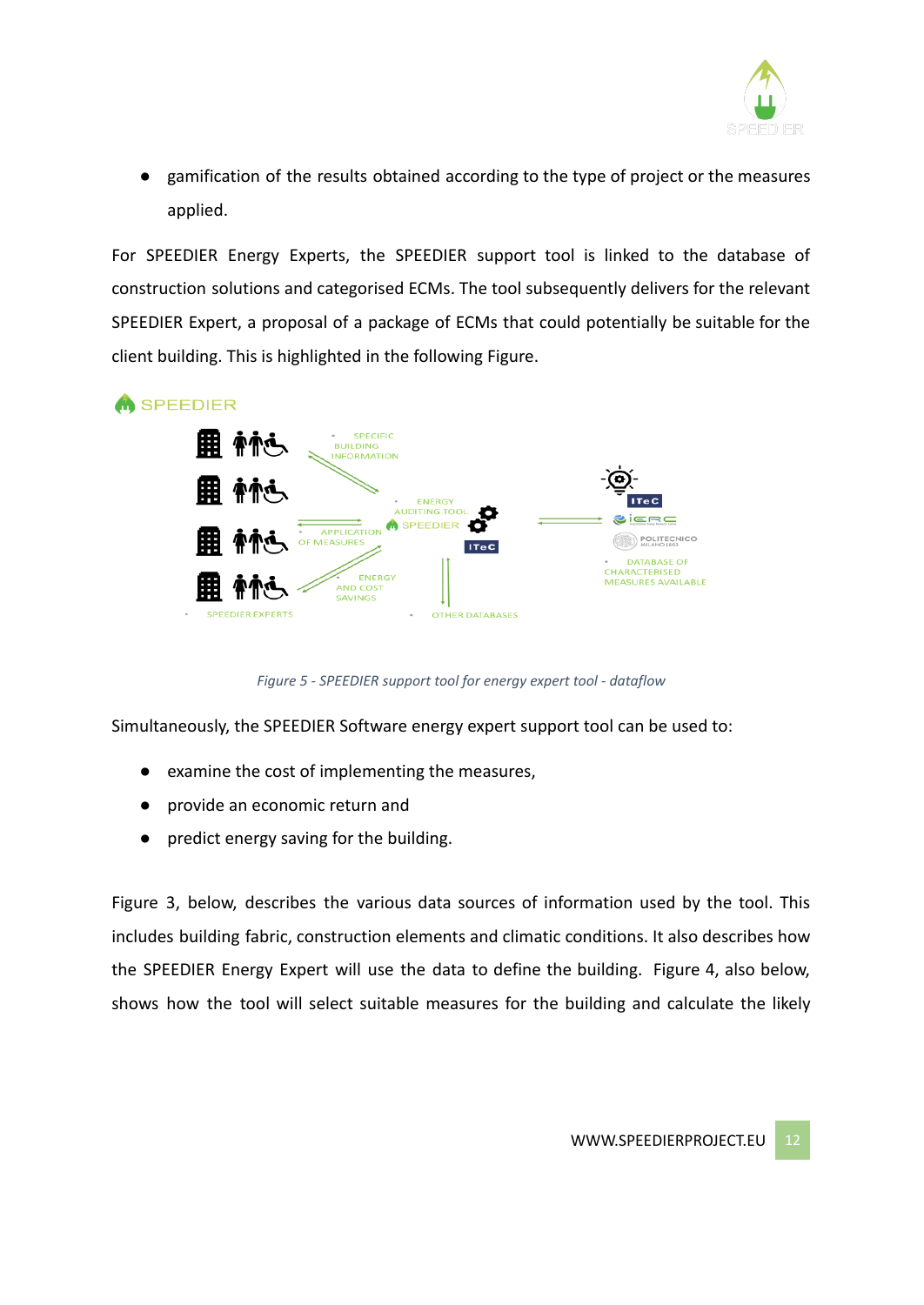

● gamification of the results obtained according to the type of project or the measures applied.

For SPEEDIER Energy Experts, the SPEEDIER support tool is linked to the database of construction solutions and categorised ECMs. The tool subsequently delivers for the relevant SPEEDIER Expert, a proposal of a package of ECMs that could potentially be suitable for the client building. This is highlighted in the following Figure.



*Figure 5 - SPEEDIER support tool for energy expert tool - dataflow*

Simultaneously, the SPEEDIER Software energy expert support tool can be used to:

- examine the cost of implementing the measures,
- provide an economic return and
- predict energy saving for the building.

Figure 3, below, describes the various data sources of information used by the tool. This includes building fabric, construction elements and climatic conditions. It also describes how the SPEEDIER Energy Expert will use the data to define the building. Figure 4, also below, shows how the tool will select suitable measures for the building and calculate the likely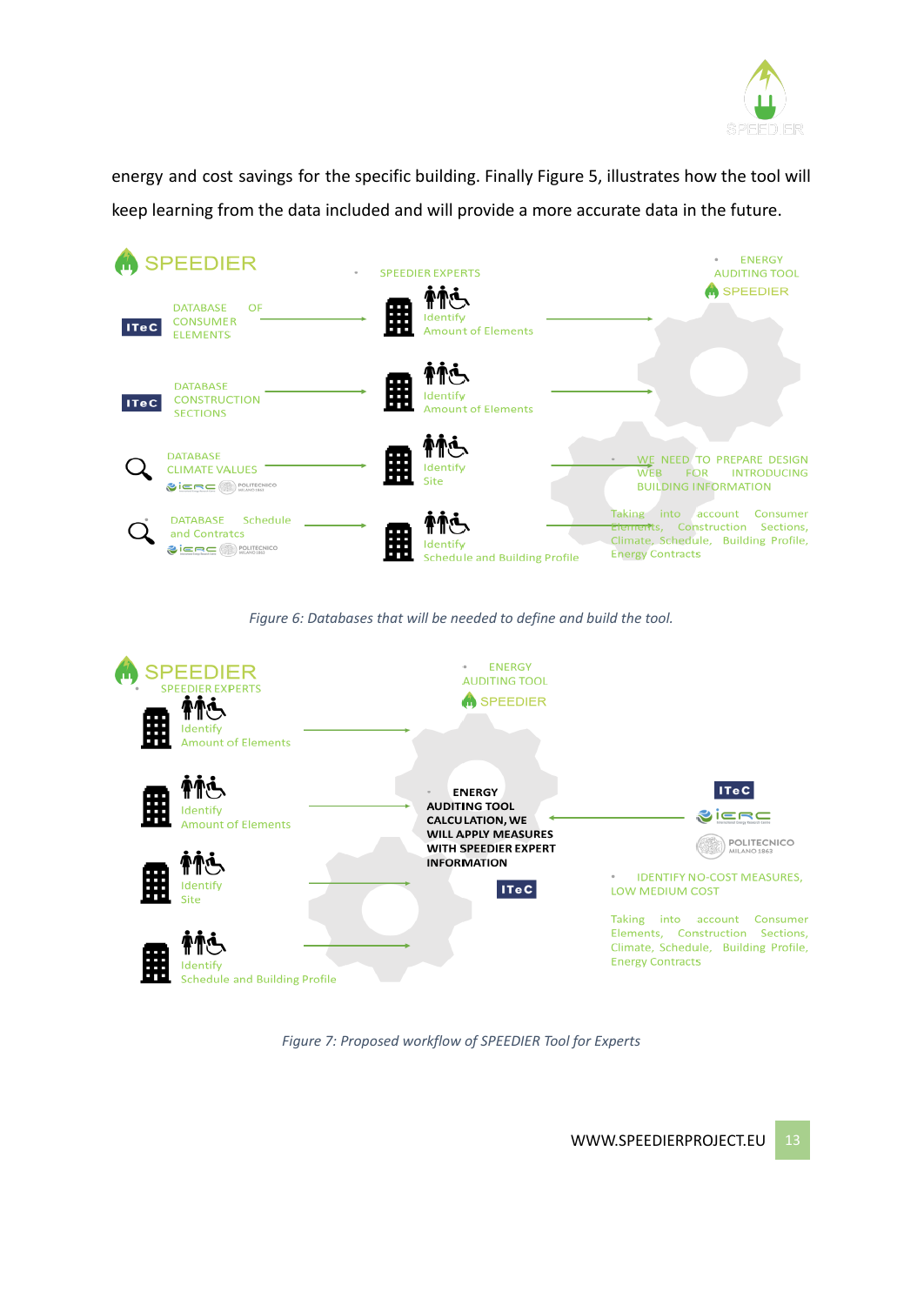

energy and cost savings for the specific building. Finally Figure 5, illustrates how the tool will keep learning from the data included and will provide a more accurate data in the future.







*Figure 7: Proposed workflow of SPEEDIER Tool for Experts*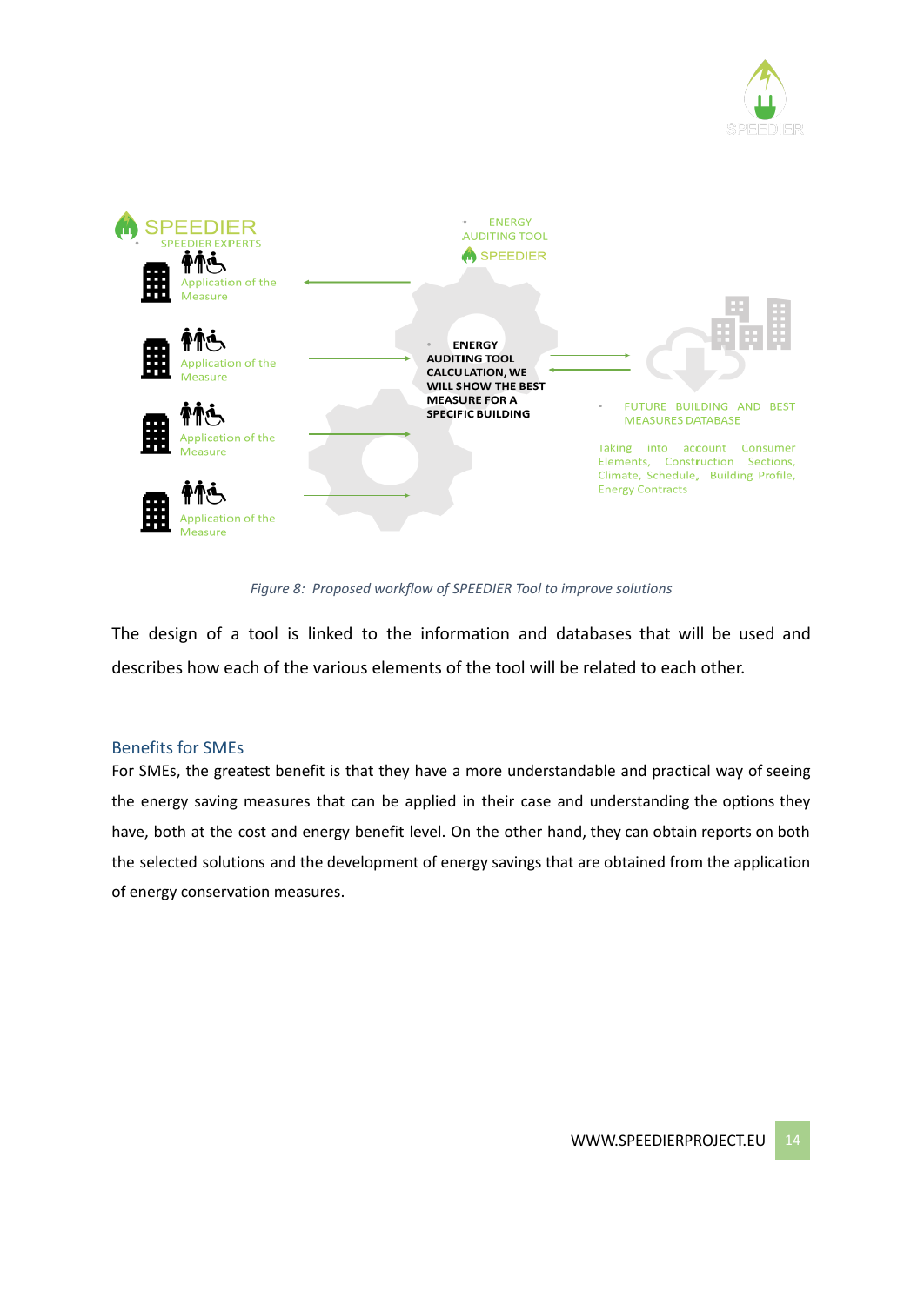



*Figure 8: Proposed workflow of SPEEDIER Tool to improve solutions*

The design of a tool is linked to the information and databases that will be used and describes how each of the various elements of the tool will be related to each other.

## Benefits for SMEs

For SMEs, the greatest benefit is that they have a more understandable and practical way of seeing the energy saving measures that can be applied in their case and understanding the options they have, both at the cost and energy benefit level. On the other hand, they can obtain reports on both the selected solutions and the development of energy savings that are obtained from the application of energy conservation measures.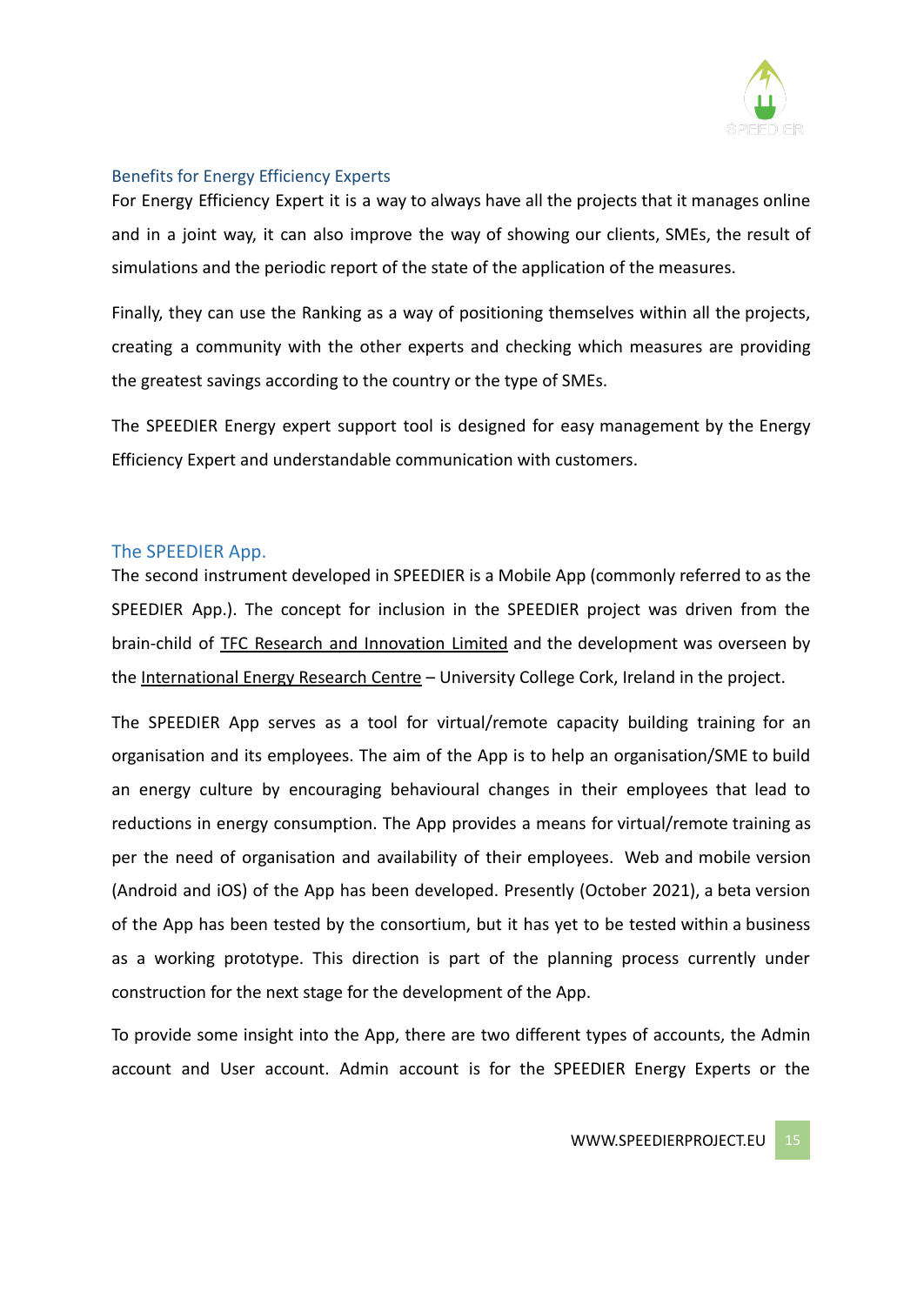

## Benefits for Energy Efficiency Experts

For Energy Efficiency Expert it is a way to always have all the projects that it manages online and in a joint way, it can also improve the way of showing our clients, SMEs, the result of simulations and the periodic report of the state of the application of the measures.

Finally, they can use the Ranking as a way of positioning themselves within all the projects, creating a community with the other experts and checking which measures are providing the greatest savings according to the country or the type of SMEs.

The SPEEDIER Energy expert support tool is designed for easy management by the Energy Efficiency Expert and understandable communication with customers.

## The SPEEDIER App.

The second instrument developed in SPEEDIER is a Mobile App (commonly referred to as the SPEEDIER App.). The concept for inclusion in the SPEEDIER project was driven from the brain-child of TFC Research and [Innovation](https://tfcengage.com/) Limited and the development was overseen by the [International Energy Research Centre](http://www.ierc.ie/) – University College Cork, Ireland in the project.

The SPEEDIER App serves as a tool for virtual/remote capacity building training for an organisation and its employees. The aim of the App is to help an organisation/SME to build an energy culture by encouraging behavioural changes in their employees that lead to reductions in energy consumption. The App provides a means for virtual/remote training as per the need of organisation and availability of their employees. Web and mobile version (Android and iOS) of the App has been developed. Presently (October 2021), a beta version of the App has been tested by the consortium, but it has yet to be tested within a business as a working prototype. This direction is part of the planning process currently under construction for the next stage for the development of the App.

To provide some insight into the App, there are two different types of accounts, the Admin account and User account. Admin account is for the SPEEDIER Energy Experts or the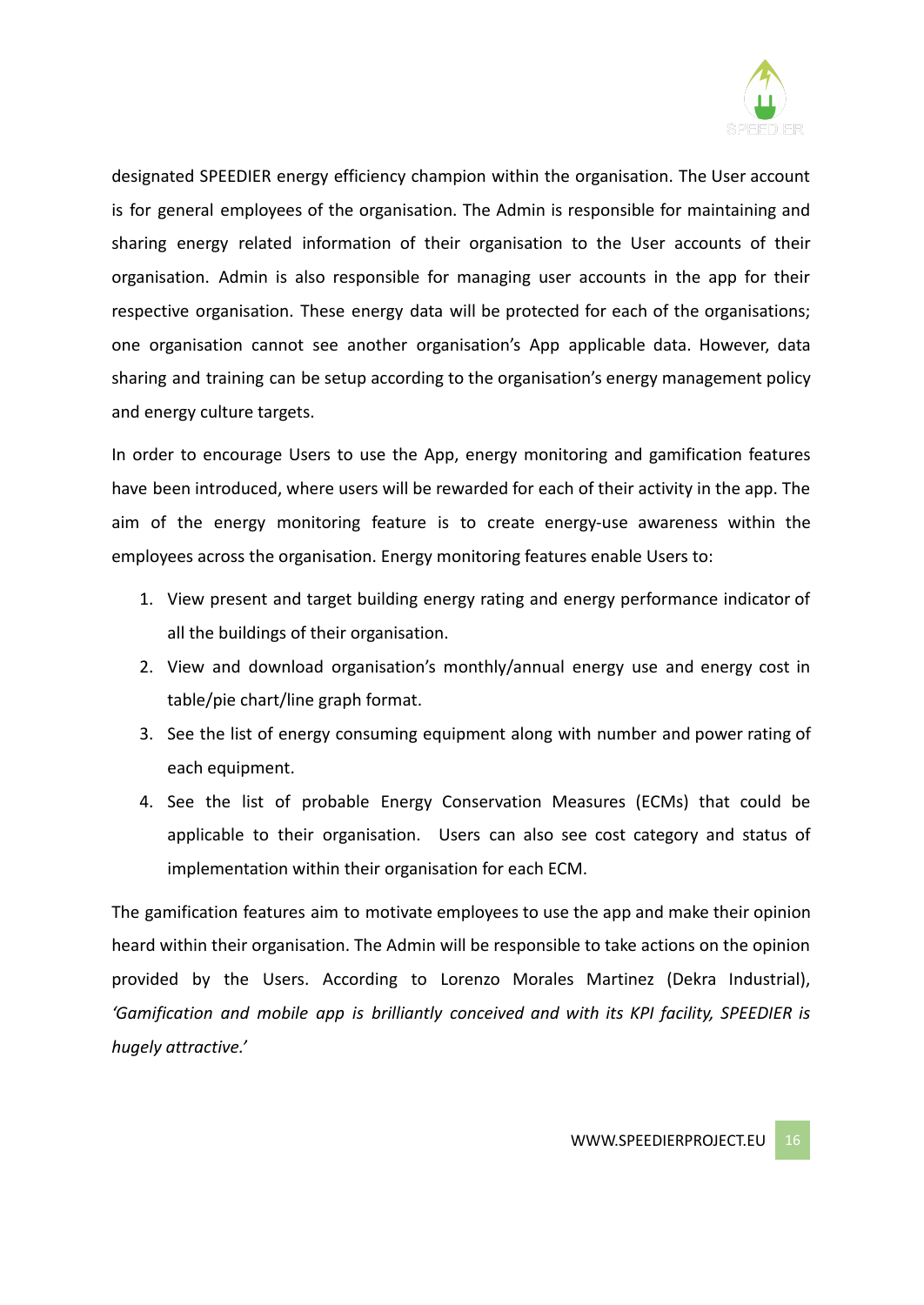

designated SPEEDIER energy efficiency champion within the organisation. The User account is for general employees of the organisation. The Admin is responsible for maintaining and sharing energy related information of their organisation to the User accounts of their organisation. Admin is also responsible for managing user accounts in the app for their respective organisation. These energy data will be protected for each of the organisations; one organisation cannot see another organisation's App applicable data. However, data sharing and training can be setup according to the organisation's energy management policy and energy culture targets.

In order to encourage Users to use the App, energy monitoring and gamification features have been introduced, where users will be rewarded for each of their activity in the app. The aim of the energy monitoring feature is to create energy-use awareness within the employees across the organisation. Energy monitoring features enable Users to:

- 1. View present and target building energy rating and energy performance indicator of all the buildings of their organisation.
- 2. View and download organisation's monthly/annual energy use and energy cost in table/pie chart/line graph format.
- 3. See the list of energy consuming equipment along with number and power rating of each equipment.
- 4. See the list of probable Energy Conservation Measures (ECMs) that could be applicable to their organisation. Users can also see cost category and status of implementation within their organisation for each ECM.

The gamification features aim to motivate employees to use the app and make their opinion heard within their organisation. The Admin will be responsible to take actions on the opinion provided by the Users. According to Lorenzo Morales Martinez (Dekra Industrial), *'Gamification and mobile app is brilliantly conceived and with its KPI facility, SPEEDIER is hugely attractive.'*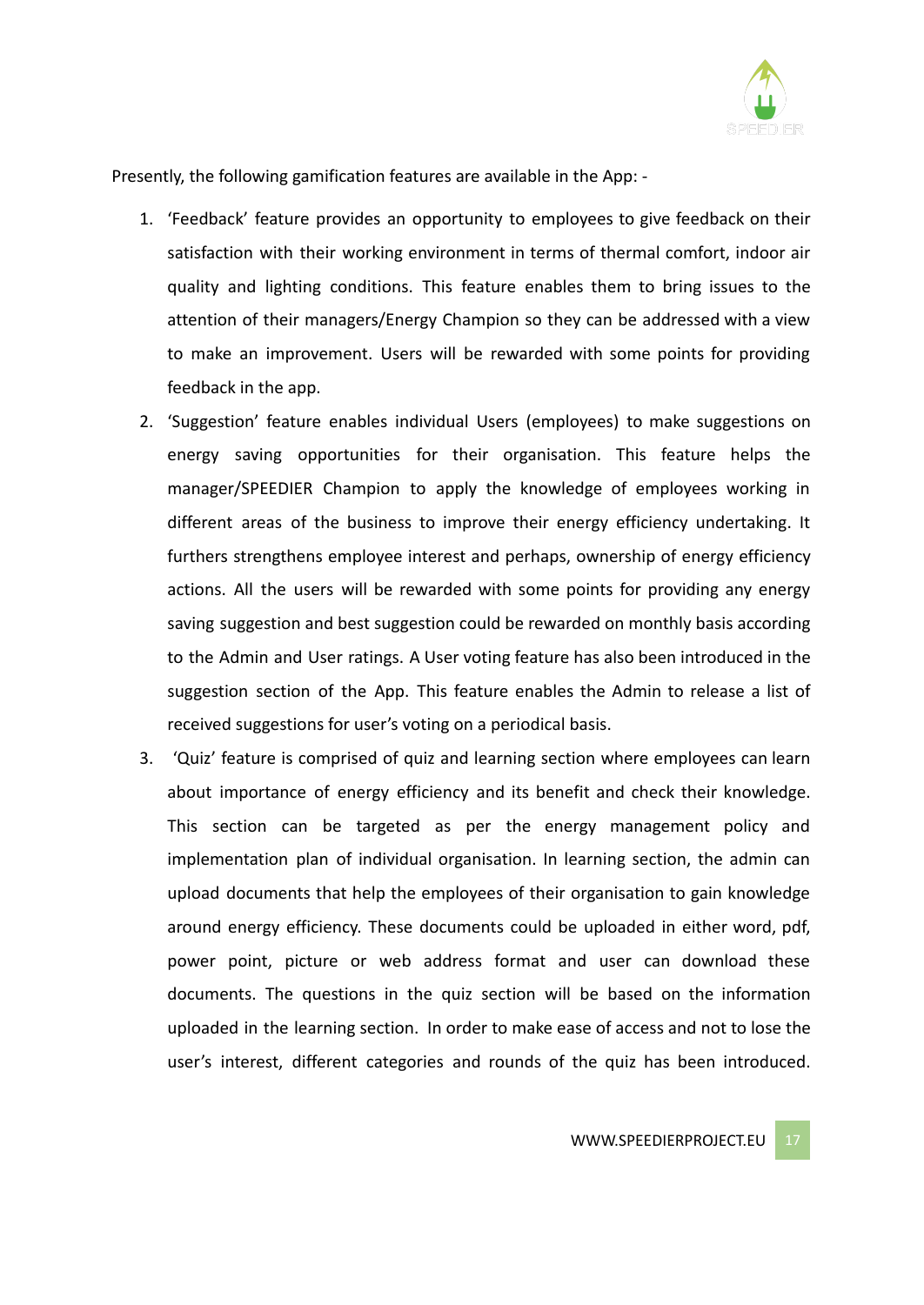

Presently, the following gamification features are available in the App: -

- 1. 'Feedback' feature provides an opportunity to employees to give feedback on their satisfaction with their working environment in terms of thermal comfort, indoor air quality and lighting conditions. This feature enables them to bring issues to the attention of their managers/Energy Champion so they can be addressed with a view to make an improvement. Users will be rewarded with some points for providing feedback in the app.
- 2. 'Suggestion' feature enables individual Users (employees) to make suggestions on energy saving opportunities for their organisation. This feature helps the manager/SPEEDIER Champion to apply the knowledge of employees working in different areas of the business to improve their energy efficiency undertaking. It furthers strengthens employee interest and perhaps, ownership of energy efficiency actions. All the users will be rewarded with some points for providing any energy saving suggestion and best suggestion could be rewarded on monthly basis according to the Admin and User ratings. A User voting feature has also been introduced in the suggestion section of the App. This feature enables the Admin to release a list of received suggestions for user's voting on a periodical basis.
- 3. 'Quiz' feature is comprised of quiz and learning section where employees can learn about importance of energy efficiency and its benefit and check their knowledge. This section can be targeted as per the energy management policy and implementation plan of individual organisation. In learning section, the admin can upload documents that help the employees of their organisation to gain knowledge around energy efficiency. These documents could be uploaded in either word, pdf, power point, picture or web address format and user can download these documents. The questions in the quiz section will be based on the information uploaded in the learning section. In order to make ease of access and not to lose the user's interest, different categories and rounds of the quiz has been introduced.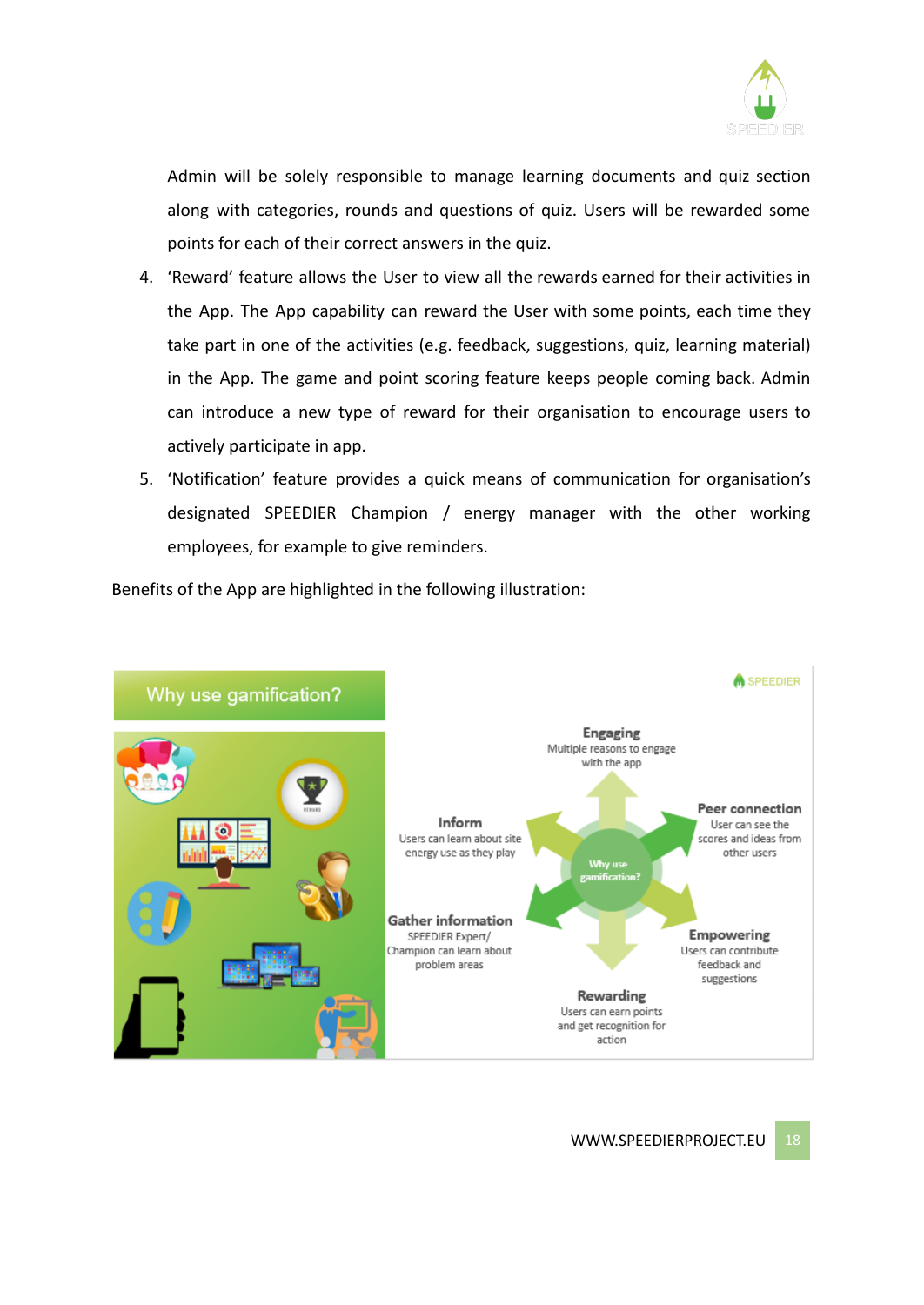

Admin will be solely responsible to manage learning documents and quiz section along with categories, rounds and questions of quiz. Users will be rewarded some points for each of their correct answers in the quiz.

- 4. 'Reward' feature allows the User to view all the rewards earned for their activities in the App. The App capability can reward the User with some points, each time they take part in one of the activities (e.g. feedback, suggestions, quiz, learning material) in the App. The game and point scoring feature keeps people coming back. Admin can introduce a new type of reward for their organisation to encourage users to actively participate in app.
- 5. 'Notification' feature provides a quick means of communication for organisation's designated SPEEDIER Champion / energy manager with the other working employees, for example to give reminders.

Benefits of the App are highlighted in the following illustration:

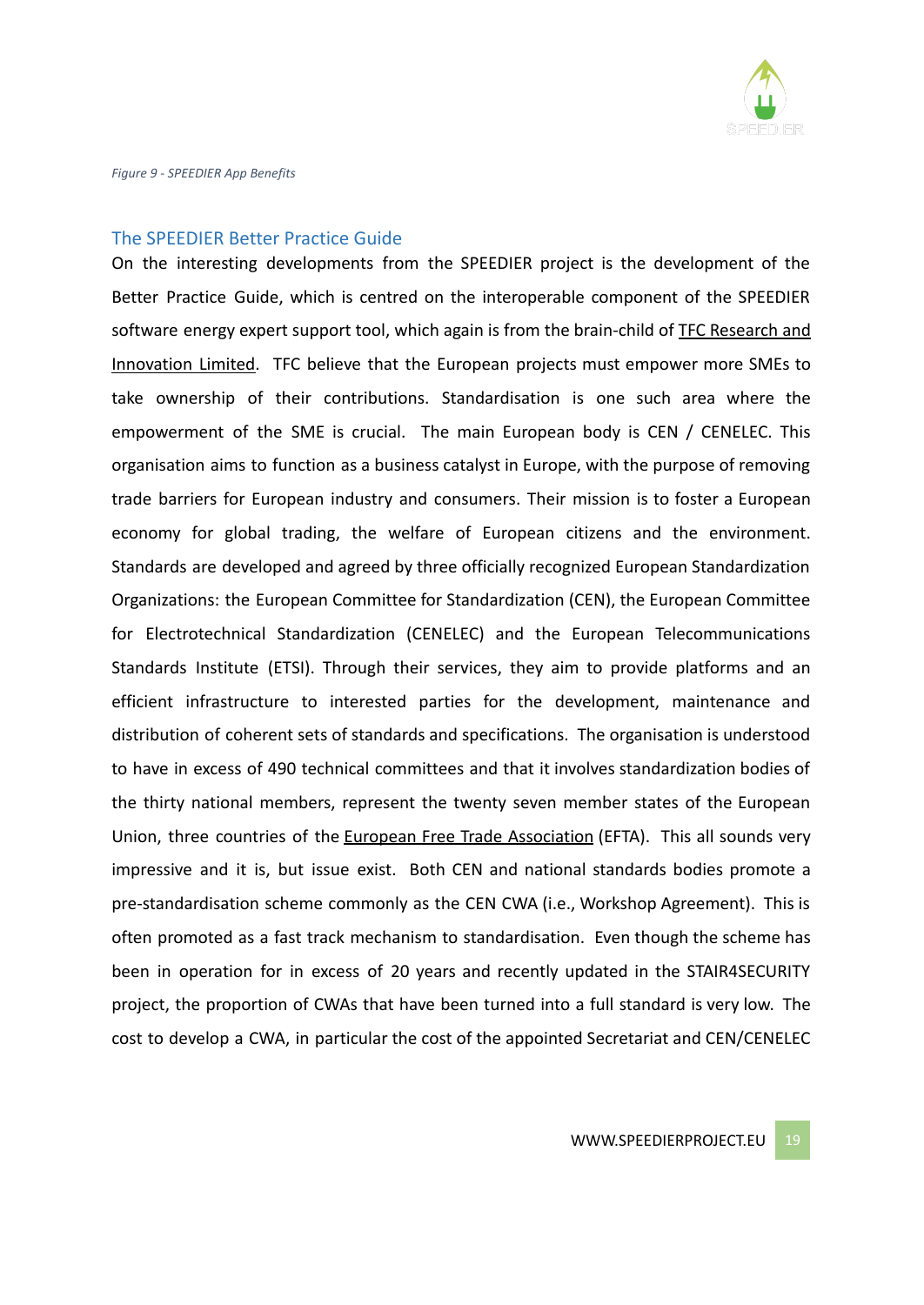

#### The SPEEDIER Better Practice Guide

On the interesting developments from the SPEEDIER project is the development of the Better Practice Guide, which is centred on the interoperable component of the SPEEDIER software energy expert support tool, which again is from the brain-child of TFC Research and Innovation Limited. TFC believe that the European projects must empower more SMEs to take ownership of their contributions. Standardisation is one such area where the empowerment of the SME is crucial. The main European body is CEN / CENELEC. This organisation aims to function as a business catalyst in Europe, with the purpose of removing trade barriers for European industry and consumers. Their mission is to foster a European economy for global trading, the welfare of European citizens and the environment. Standards are developed and agreed by three officially recognized European Standardization Organizations: the European Committee for Standardization (CEN), the European Committee for Electrotechnical Standardization (CENELEC) and the European Telecommunications Standards Institute (ETSI). Through their services, they aim to provide platforms and an efficient infrastructure to interested parties for the development, maintenance and distribution of coherent sets of standards and specifications. The organisation is understood to have in excess of 490 technical committees and that it involves standardization bodies of the thirty national members, represent the twenty seven member states of the European Union, three countries of the European Free Trade [Association](https://en.wikipedia.org/wiki/European_Free_Trade_Association) (EFTA). This all sounds very impressive and it is, but issue exist. Both CEN and national standards bodies promote a pre-standardisation scheme commonly as the CEN CWA (i.e., Workshop Agreement). This is often promoted as a fast track mechanism to standardisation. Even though the scheme has been in operation for in excess of 20 years and recently updated in the STAIR4SECURITY project, the proportion of CWAs that have been turned into a full standard is very low. The cost to develop a CWA, in particular the cost of the appointed Secretariat and CEN/CENELEC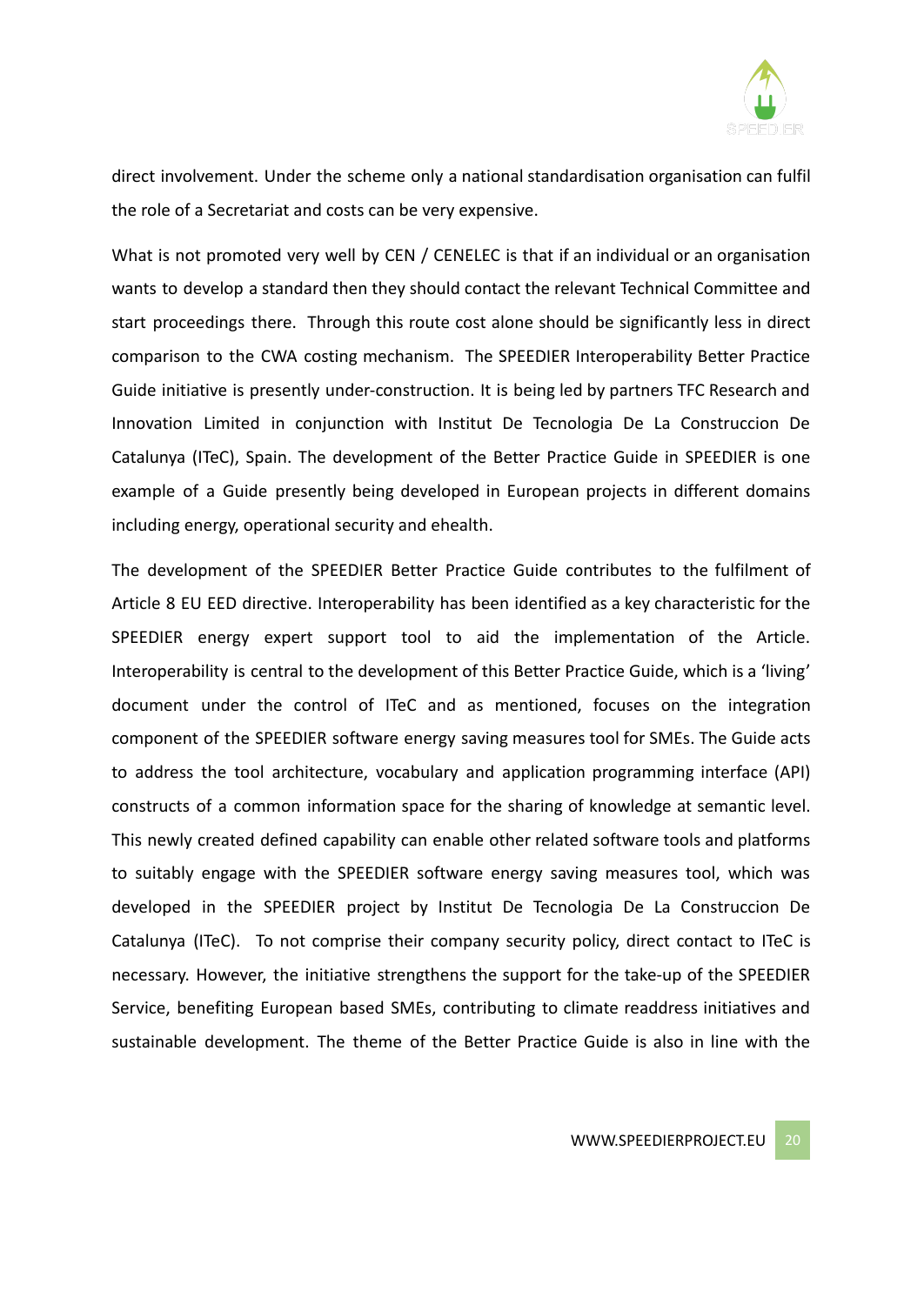

direct involvement. Under the scheme only a national standardisation organisation can fulfil the role of a Secretariat and costs can be very expensive.

What is not promoted very well by CEN / CENELEC is that if an individual or an organisation wants to develop a standard then they should contact the relevant Technical Committee and start proceedings there. Through this route cost alone should be significantly less in direct comparison to the CWA costing mechanism. The SPEEDIER Interoperability Better Practice Guide initiative is presently under-construction. It is being led by partners TFC Research and Innovation Limited in conjunction with Institut De Tecnologia De La Construccion De Catalunya ([ITeC\),](https://itec.es/) Spain. The development of the Better Practice Guide in SPEEDIER is one example of a Guide presently being developed in European projects in different domains including energy, operational security and ehealth.

The development of the SPEEDIER Better Practice Guide contributes to the fulfilment of Article 8 EU EED directive. Interoperability has been identified as a key characteristic for the SPEEDIER energy expert support tool to aid the implementation of the Article. Interoperability is central to the development of this Better Practice Guide, which is a 'living' document under the control of ITeC and as mentioned, focuses on the integration component of the SPEEDIER software energy saving measures tool for SMEs. The Guide acts to address the tool architecture, vocabulary and application programming interface (API) constructs of a common information space for the sharing of knowledge at semantic level. This newly created defined capability can enable other related software tools and platforms to suitably engage with the SPEEDIER software energy saving measures tool, which was developed in the SPEEDIER project by Institut De Tecnologia De La Construccion De Catalunya (ITeC). To not comprise their company security policy, direct contact to ITeC is necessary. However, the initiative strengthens the support for the take-up of the SPEEDIER Service, benefiting European based SMEs, contributing to climate readdress initiatives and sustainable development. The theme of the Better Practice Guide is also in line with the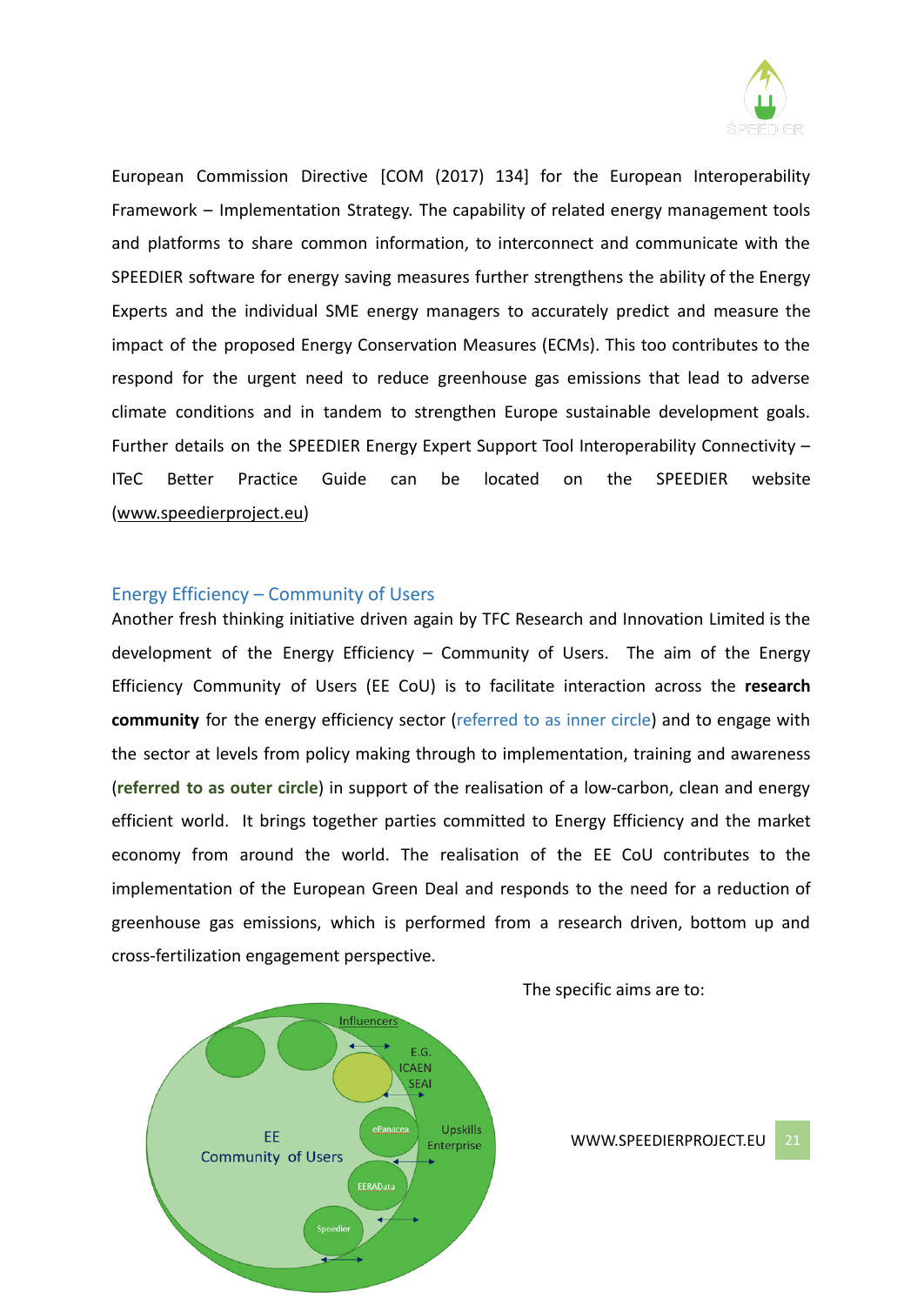

European Commission Directive [COM (2017) 134] for the European Interoperability Framework – Implementation Strategy. The capability of related energy management tools and platforms to share common information, to interconnect and communicate with the SPEEDIER software for energy saving measures further strengthens the ability of the Energy Experts and the individual SME energy managers to accurately predict and measure the impact of the proposed Energy Conservation Measures (ECMs). This too contributes to the respond for the urgent need to reduce greenhouse gas emissions that lead to adverse climate conditions and in tandem to strengthen Europe sustainable development goals. Further details on the SPEEDIER Energy Expert Support Tool Interoperability Connectivity – ITeC Better Practice Guide can be located on the SPEEDIER website ([www.speedierproject.eu\)](http://www.speedierproject.eu)

#### Energy Efficiency – Community of Users

Another fresh thinking initiative driven again by TFC Research and Innovation Limited is the development of the Energy Efficiency – Community of Users. The aim of the Energy Efficiency Community of Users (EE CoU) is to facilitate interaction across the **research community** for the energy efficiency sector (referred to as inner circle) and to engage with the sector at levels from policy making through to implementation, training and awareness (**referred to as outer circle**) in support of the realisation of a low-carbon, clean and energy efficient world. It brings together parties committed to Energy Efficiency and the market economy from around the world. The realisation of the EE CoU contributes to the implementation of the European Green Deal and responds to the need for a reduction of greenhouse gas emissions, which is performed from a research driven, bottom up and cross-fertilization engagement perspective.



The specific aims are to: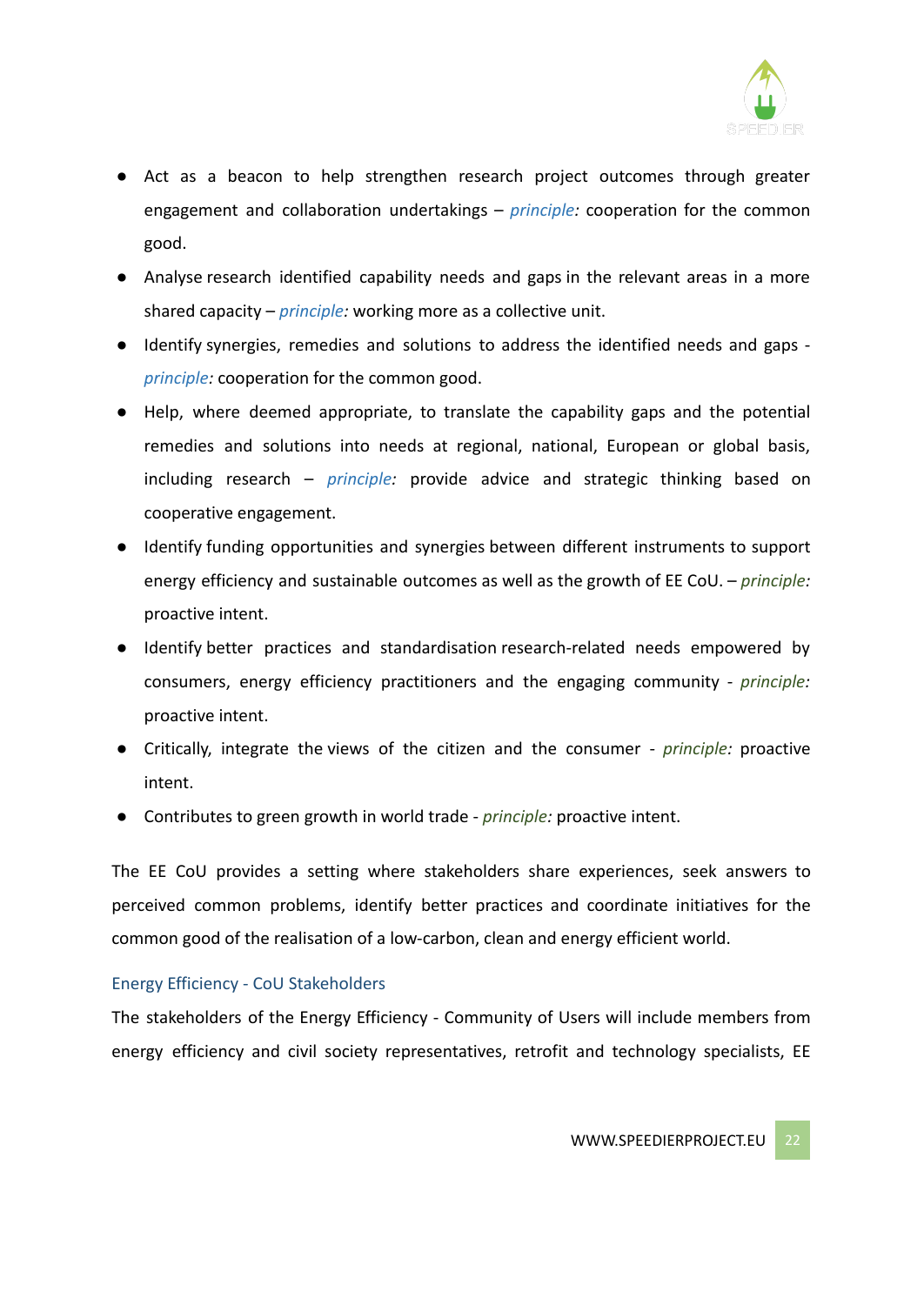

- Act as a beacon to help strengthen research project outcomes through greater engagement and collaboration undertakings – *principle:* cooperation for the common good.
- Analyse research identified capability needs and gaps in the relevant areas in a more shared capacity – *principle:* working more as a collective unit.
- Identify synergies, remedies and solutions to address the identified needs and gaps *principle:* cooperation for the common good.
- Help, where deemed appropriate, to translate the capability gaps and the potential remedies and solutions into needs at regional, national, European or global basis, including research – *principle:* provide advice and strategic thinking based on cooperative engagement.
- Identify funding opportunities and synergies between different instruments to support energy efficiency and sustainable outcomes as well as the growth of EE CoU. – *principle:* proactive intent.
- Identify better practices and standardisation research-related needs empowered by consumers, energy efficiency practitioners and the engaging community - *principle:* proactive intent.
- Critically, integrate the views of the citizen and the consumer *principle:* proactive intent.
- Contributes to green growth in world trade *principle:* proactive intent.

The EE CoU provides a setting where stakeholders share experiences, seek answers to perceived common problems, identify better practices and coordinate initiatives for the common good of the realisation of a low-carbon, clean and energy efficient world.

## Energy Efficiency - CoU Stakeholders

The stakeholders of the Energy Efficiency - Community of Users will include members from energy efficiency and civil society representatives, retrofit and technology specialists, EE